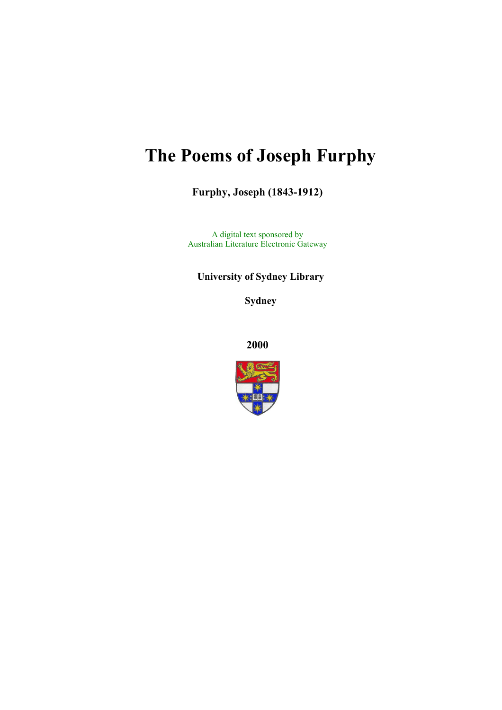# **The Poems of Joseph Furphy**

**Furphy, Joseph (1843-1912)**

A digital text sponsored by Australian Literature Electronic Gateway

#### **University of Sydney Library**

**Sydney** 

**2000**

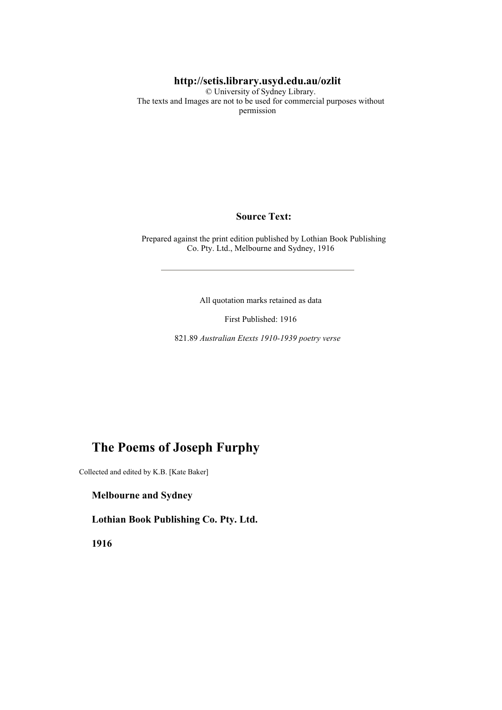#### **http://setis.library.usyd.edu.au/ozlit**

 © University of Sydney Library. The texts and Images are not to be used for commercial purposes without permission

#### **Source Text:**

 Prepared against the print edition published by Lothian Book Publishing Co. Pty. Ltd., Melbourne and Sydney, 1916

All quotation marks retained as data

First Published: 1916

821.89 *Australian Etexts 1910-1939 poetry verse*

#### **The Poems of Joseph Furphy**

Collected and edited by K.B. [Kate Baker]

**Melbourne and Sydney** 

**Lothian Book Publishing Co. Pty. Ltd.** 

**1916**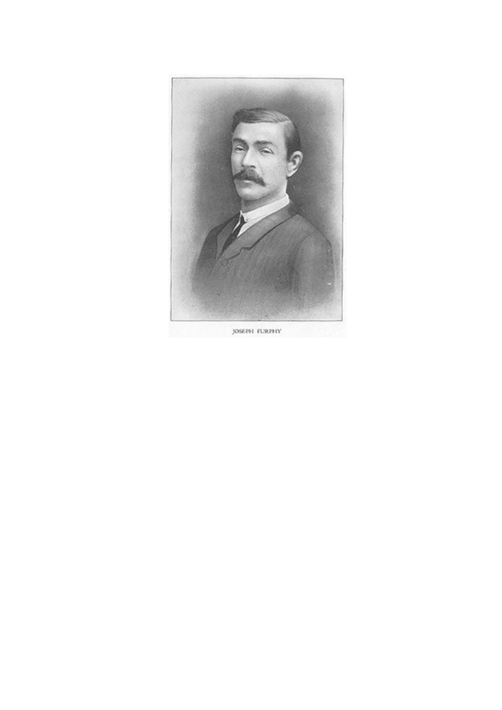

JOSEPH FURPHY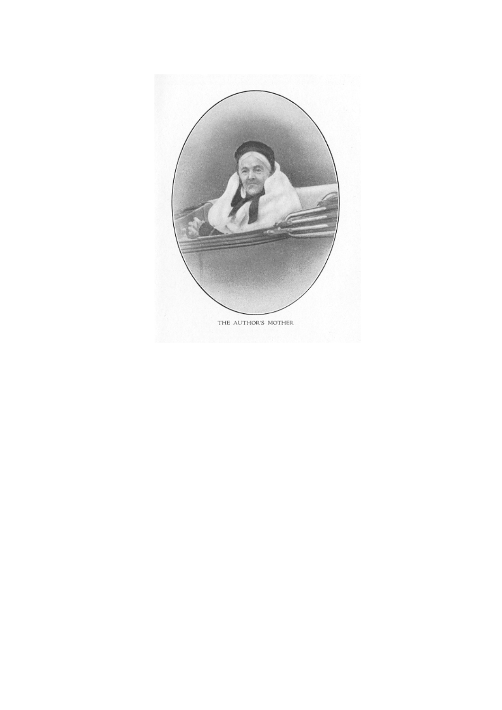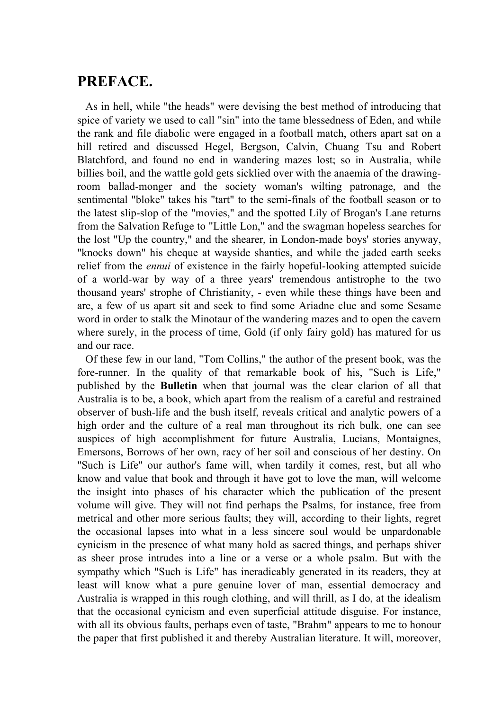#### **PREFACE.**

 As in hell, while "the heads" were devising the best method of introducing that spice of variety we used to call "sin" into the tame blessedness of Eden, and while the rank and file diabolic were engaged in a football match, others apart sat on a hill retired and discussed Hegel, Bergson, Calvin, Chuang Tsu and Robert Blatchford, and found no end in wandering mazes lost; so in Australia, while billies boil, and the wattle gold gets sicklied over with the anaemia of the drawingroom ballad-monger and the society woman's wilting patronage, and the sentimental "bloke" takes his "tart" to the semi-finals of the football season or to the latest slip-slop of the "movies," and the spotted Lily of Brogan's Lane returns from the Salvation Refuge to "Little Lon," and the swagman hopeless searches for the lost "Up the country," and the shearer, in London-made boys' stories anyway, "knocks down" his cheque at wayside shanties, and while the jaded earth seeks relief from the *ennui* of existence in the fairly hopeful-looking attempted suicide of a world-war by way of a three years' tremendous antistrophe to the two thousand years' strophe of Christianity, - even while these things have been and are, a few of us apart sit and seek to find some Ariadne clue and some Sesame word in order to stalk the Minotaur of the wandering mazes and to open the cavern where surely, in the process of time, Gold (if only fairy gold) has matured for us and our race.

 Of these few in our land, "Tom Collins," the author of the present book, was the fore-runner. In the quality of that remarkable book of his, "Such is Life," published by the **Bulletin** when that journal was the clear clarion of all that Australia is to be, a book, which apart from the realism of a careful and restrained observer of bush-life and the bush itself, reveals critical and analytic powers of a high order and the culture of a real man throughout its rich bulk, one can see auspices of high accomplishment for future Australia, Lucians, Montaignes, Emersons, Borrows of her own, racy of her soil and conscious of her destiny. On "Such is Life" our author's fame will, when tardily it comes, rest, but all who know and value that book and through it have got to love the man, will welcome the insight into phases of his character which the publication of the present volume will give. They will not find perhaps the Psalms, for instance, free from metrical and other more serious faults; they will, according to their lights, regret the occasional lapses into what in a less sincere soul would be unpardonable cynicism in the presence of what many hold as sacred things, and perhaps shiver as sheer prose intrudes into a line or a verse or a whole psalm. But with the sympathy which "Such is Life" has ineradicably generated in its readers, they at least will know what a pure genuine lover of man, essential democracy and Australia is wrapped in this rough clothing, and will thrill, as I do, at the idealism that the occasional cynicism and even superficial attitude disguise. For instance, with all its obvious faults, perhaps even of taste, "Brahm" appears to me to honour the paper that first published it and thereby Australian literature. It will, moreover,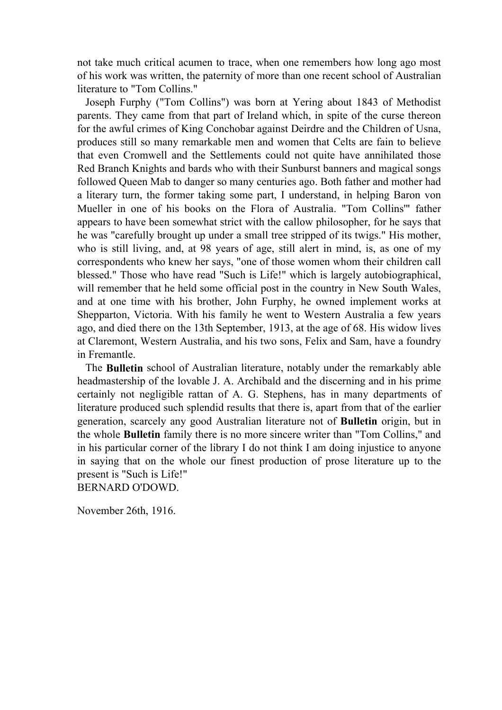not take much critical acumen to trace, when one remembers how long ago most of his work was written, the paternity of more than one recent school of Australian literature to "Tom Collins."

 Joseph Furphy ("Tom Collins") was born at Yering about 1843 of Methodist parents. They came from that part of Ireland which, in spite of the curse thereon for the awful crimes of King Conchobar against Deirdre and the Children of Usna, produces still so many remarkable men and women that Celts are fain to believe that even Cromwell and the Settlements could not quite have annihilated those Red Branch Knights and bards who with their Sunburst banners and magical songs followed Queen Mab to danger so many centuries ago. Both father and mother had a literary turn, the former taking some part, I understand, in helping Baron von Mueller in one of his books on the Flora of Australia. "Tom Collins'" father appears to have been somewhat strict with the callow philosopher, for he says that he was "carefully brought up under a small tree stripped of its twigs." His mother, who is still living, and, at 98 years of age, still alert in mind, is, as one of my correspondents who knew her says, "one of those women whom their children call blessed." Those who have read "Such is Life!" which is largely autobiographical, will remember that he held some official post in the country in New South Wales, and at one time with his brother, John Furphy, he owned implement works at Shepparton, Victoria. With his family he went to Western Australia a few years ago, and died there on the 13th September, 1913, at the age of 68. His widow lives at Claremont, Western Australia, and his two sons, Felix and Sam, have a foundry in Fremantle.

 The **Bulletin** school of Australian literature, notably under the remarkably able headmastership of the lovable J. A. Archibald and the discerning and in his prime certainly not negligible rattan of A. G. Stephens, has in many departments of literature produced such splendid results that there is, apart from that of the earlier generation, scarcely any good Australian literature not of **Bulletin** origin, but in the whole **Bulletin** family there is no more sincere writer than "Tom Collins," and in his particular corner of the library I do not think I am doing injustice to anyone in saying that on the whole our finest production of prose literature up to the present is "Such is Life!" BERNARD O'DOWD.

November 26th, 1916.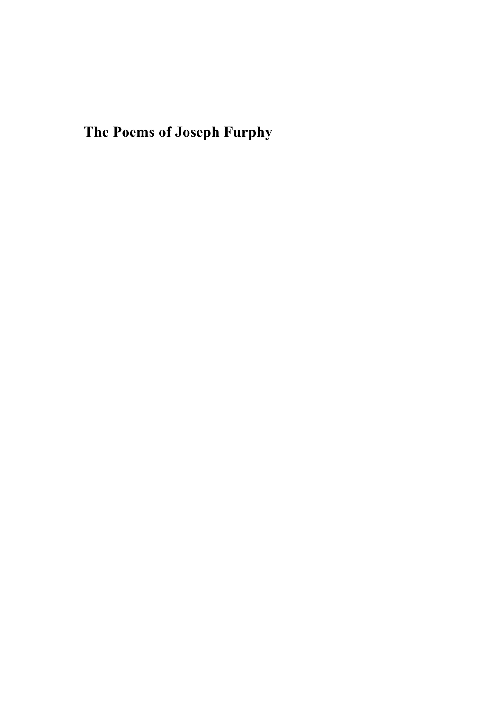**The Poems of Joseph Furphy**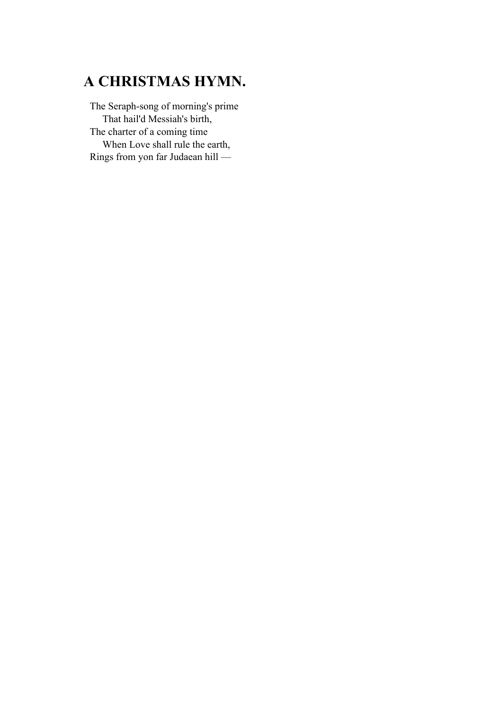# **A CHRISTMAS HYMN.**

The Seraph-song of morning's prime That hail'd Messiah's birth, The charter of a coming time When Love shall rule the earth, Rings from yon far Judaean hill —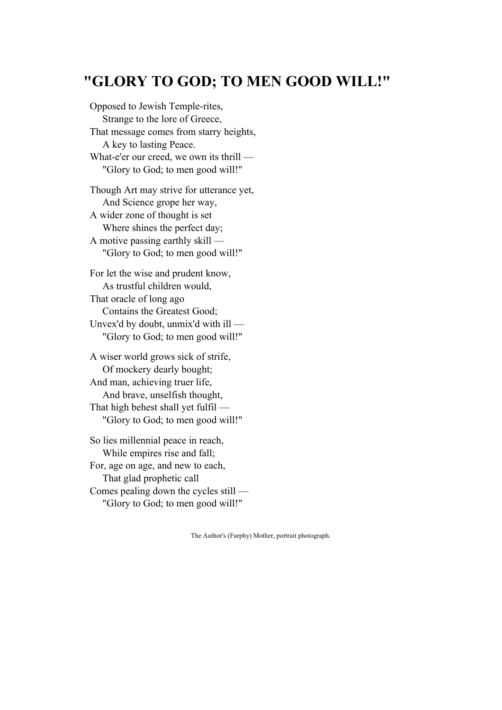## **"GLORY TO GOD; TO MEN GOOD WILL!"**

Opposed to Jewish Temple-rites, Strange to the lore of Greece, That message comes from starry heights, A key to lasting Peace. What-e'er our creed, we own its thrill — "Glory to God; to men good will!" Though Art may strive for utterance yet, And Science grope her way, A wider zone of thought is set Where shines the perfect day; A motive passing earthly skill — "Glory to God; to men good will!" For let the wise and prudent know, As trustful children would,

That oracle of long ago Contains the Greatest Good; Unvex'd by doubt, unmix'd with ill — "Glory to God; to men good will!"

A wiser world grows sick of strife, Of mockery dearly bought; And man, achieving truer life, And brave, unselfish thought, That high behest shall yet fulfil — "Glory to God; to men good will!"

So lies millennial peace in reach, While empires rise and fall; For, age on age, and new to each, That glad prophetic call Comes pealing down the cycles still — "Glory to God; to men good will!"

The Author's (Furphy) Mother, portrait photograph.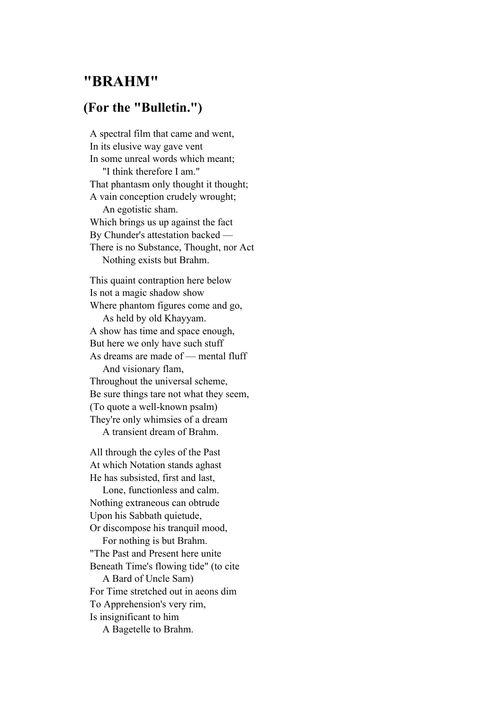#### **"BRAHM"**

#### **(For the "Bulletin.")**

A spectral film that came and went, In its elusive way gave vent In some unreal words which meant; "I think therefore I am." That phantasm only thought it thought; A vain conception crudely wrought; An egotistic sham. Which brings us up against the fact By Chunder's attestation backed — There is no Substance, Thought, nor Act Nothing exists but Brahm.

This quaint contraption here below Is not a magic shadow show Where phantom figures come and go, As held by old Khayyam. A show has time and space enough, But here we only have such stuff As dreams are made of — mental fluff And visionary flam, Throughout the universal scheme, Be sure things tare not what they seem, (To quote a well-known psalm) They're only whimsies of a dream A transient dream of Brahm.

All through the cyles of the Past At which Notation stands aghast He has subsisted, first and last,

 Lone, functionless and calm. Nothing extraneous can obtrude Upon his Sabbath quietude, Or discompose his tranquil mood,

 For nothing is but Brahm. "The Past and Present here unite Beneath Time's flowing tide" (to cite

 A Bard of Uncle Sam) For Time stretched out in aeons dim To Apprehension's very rim, Is insignificant to him

A Bagetelle to Brahm.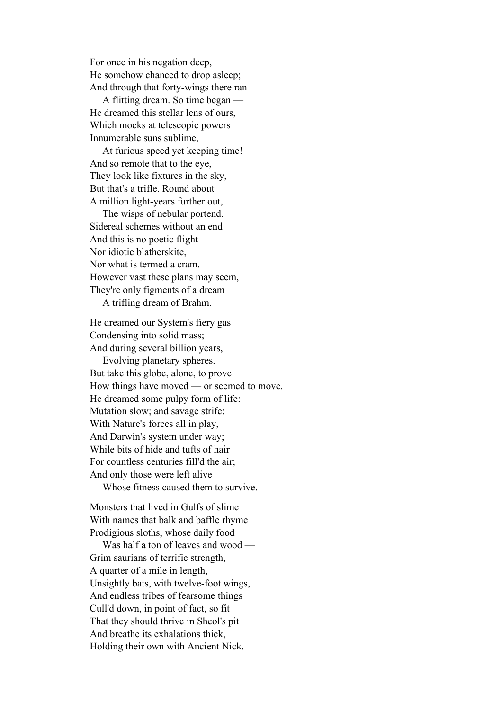For once in his negation deep, He somehow chanced to drop asleep; And through that forty-wings there ran

 A flitting dream. So time began — He dreamed this stellar lens of ours, Which mocks at telescopic powers Innumerable suns sublime,

 At furious speed yet keeping time! And so remote that to the eye, They look like fixtures in the sky, But that's a trifle. Round about A million light-years further out,

 The wisps of nebular portend. Sidereal schemes without an end And this is no poetic flight Nor idiotic blatherskite, Nor what is termed a cram. However vast these plans may seem, They're only figments of a dream

A trifling dream of Brahm.

He dreamed our System's fiery gas Condensing into solid mass; And during several billion years,

 Evolving planetary spheres. But take this globe, alone, to prove How things have moved — or seemed to move. He dreamed some pulpy form of life: Mutation slow; and savage strife: With Nature's forces all in play, And Darwin's system under way; While bits of hide and tufts of hair For countless centuries fill'd the air; And only those were left alive Whose fitness caused them to survive.

Monsters that lived in Gulfs of slime With names that balk and baffle rhyme Prodigious sloths, whose daily food

Was half a ton of leaves and wood — Grim saurians of terrific strength, A quarter of a mile in length, Unsightly bats, with twelve-foot wings, And endless tribes of fearsome things Cull'd down, in point of fact, so fit That they should thrive in Sheol's pit And breathe its exhalations thick, Holding their own with Ancient Nick.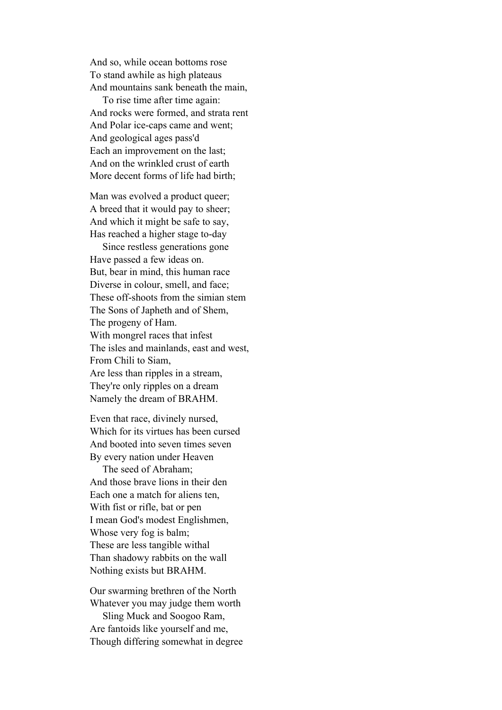And so, while ocean bottoms rose To stand awhile as high plateaus And mountains sank beneath the main,

 To rise time after time again: And rocks were formed, and strata rent And Polar ice-caps came and went; And geological ages pass'd Each an improvement on the last; And on the wrinkled crust of earth More decent forms of life had birth;

Man was evolved a product queer; A breed that it would pay to sheer; And which it might be safe to say, Has reached a higher stage to-day

 Since restless generations gone Have passed a few ideas on. But, bear in mind, this human race Diverse in colour, smell, and face; These off-shoots from the simian stem The Sons of Japheth and of Shem, The progeny of Ham. With mongrel races that infest The isles and mainlands, east and west, From Chili to Siam, Are less than ripples in a stream, They're only ripples on a dream Namely the dream of BRAHM.

Even that race, divinely nursed, Which for its virtues has been cursed And booted into seven times seven By every nation under Heaven

 The seed of Abraham; And those brave lions in their den Each one a match for aliens ten, With fist or rifle, bat or pen I mean God's modest Englishmen, Whose very fog is balm; These are less tangible withal Than shadowy rabbits on the wall Nothing exists but BRAHM.

Our swarming brethren of the North Whatever you may judge them worth Sling Muck and Soogoo Ram, Are fantoids like yourself and me, Though differing somewhat in degree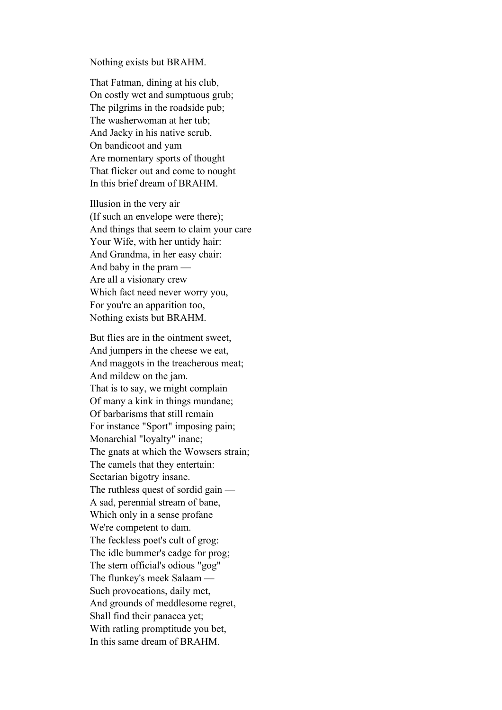Nothing exists but BRAHM.

That Fatman, dining at his club, On costly wet and sumptuous grub; The pilgrims in the roadside pub; The washerwoman at her tub; And Jacky in his native scrub, On bandicoot and yam Are momentary sports of thought That flicker out and come to nought In this brief dream of BRAHM.

Illusion in the very air (If such an envelope were there); And things that seem to claim your care Your Wife, with her untidy hair: And Grandma, in her easy chair: And baby in the pram — Are all a visionary crew Which fact need never worry you, For you're an apparition too, Nothing exists but BRAHM.

But flies are in the ointment sweet, And jumpers in the cheese we eat, And maggots in the treacherous meat; And mildew on the jam. That is to say, we might complain Of many a kink in things mundane; Of barbarisms that still remain For instance "Sport" imposing pain; Monarchial "loyalty" inane; The gnats at which the Wowsers strain; The camels that they entertain: Sectarian bigotry insane. The ruthless quest of sordid gain — A sad, perennial stream of bane, Which only in a sense profane We're competent to dam. The feckless poet's cult of grog: The idle bummer's cadge for prog; The stern official's odious "gog" The flunkey's meek Salaam — Such provocations, daily met, And grounds of meddlesome regret, Shall find their panacea yet; With ratling promptitude you bet, In this same dream of BRAHM.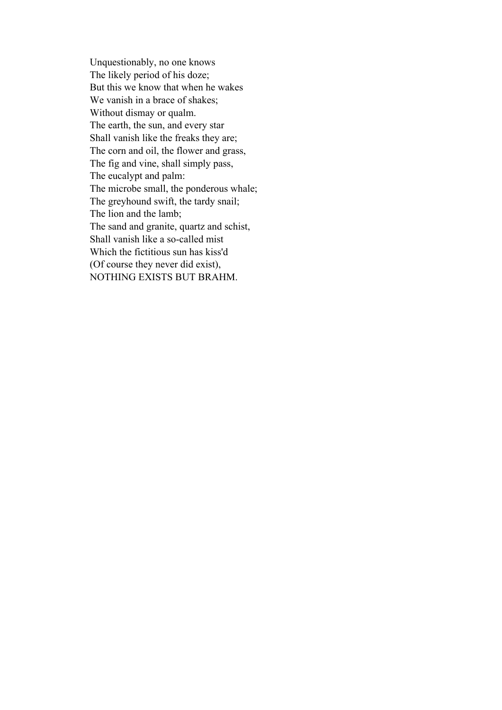Unquestionably, no one knows The likely period of his doze; But this we know that when he wakes We vanish in a brace of shakes; Without dismay or qualm. The earth, the sun, and every star Shall vanish like the freaks they are; The corn and oil, the flower and grass, The fig and vine, shall simply pass, The eucalypt and palm: The microbe small, the ponderous whale; The greyhound swift, the tardy snail; The lion and the lamb; The sand and granite, quartz and schist, Shall vanish like a so-called mist Which the fictitious sun has kiss'd (Of course they never did exist), NOTHING EXISTS BUT BRAHM.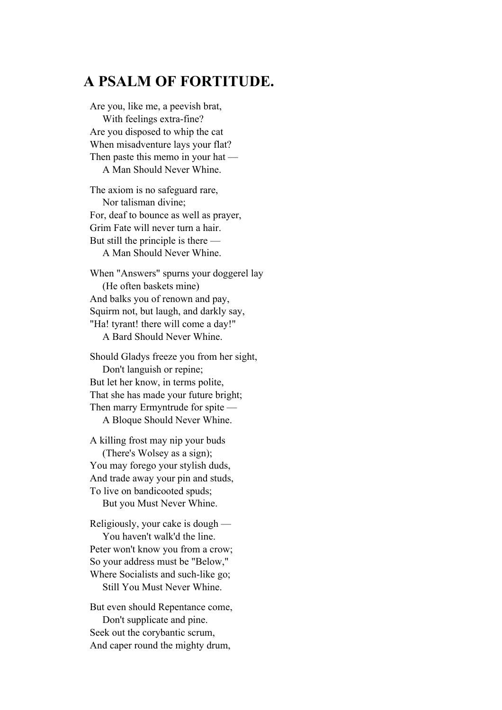### **A PSALM OF FORTITUDE.**

Are you, like me, a peevish brat, With feelings extra-fine? Are you disposed to whip the cat When misadventure lays your flat? Then paste this memo in your hat — A Man Should Never Whine.

The axiom is no safeguard rare, Nor talisman divine; For, deaf to bounce as well as prayer, Grim Fate will never turn a hair. But still the principle is there — A Man Should Never Whine.

When "Answers" spurns your doggerel lay (He often baskets mine) And balks you of renown and pay, Squirm not, but laugh, and darkly say, "Ha! tyrant! there will come a day!" A Bard Should Never Whine.

Should Gladys freeze you from her sight, Don't languish or repine; But let her know, in terms polite, That she has made your future bright; Then marry Ermyntrude for spite — A Bloque Should Never Whine.

A killing frost may nip your buds (There's Wolsey as a sign); You may forego your stylish duds, And trade away your pin and studs, To live on bandicooted spuds; But you Must Never Whine.

Religiously, your cake is dough — You haven't walk'd the line. Peter won't know you from a crow; So your address must be "Below," Where Socialists and such-like go; Still You Must Never Whine.

But even should Repentance come, Don't supplicate and pine. Seek out the corybantic scrum, And caper round the mighty drum,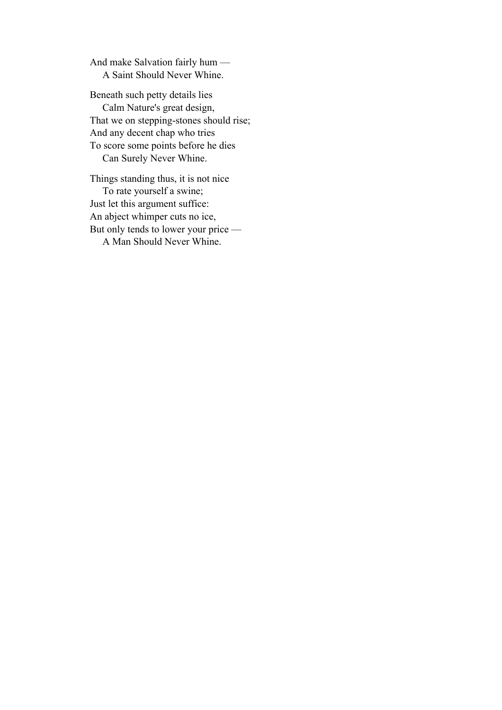And make Salvation fairly hum — A Saint Should Never Whine.

Beneath such petty details lies Calm Nature's great design, That we on stepping-stones should rise; And any decent chap who tries To score some points before he dies Can Surely Never Whine.

Things standing thus, it is not nice To rate yourself a swine; Just let this argument suffice: An abject whimper cuts no ice, But only tends to lower your price — A Man Should Never Whine.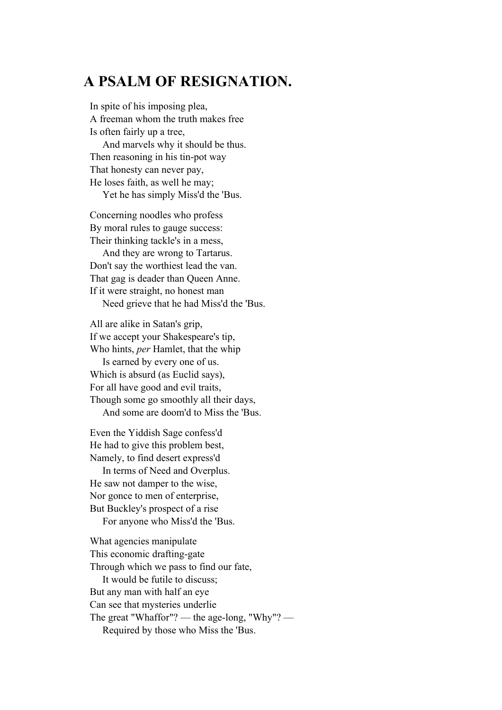### **A PSALM OF RESIGNATION.**

In spite of his imposing plea, A freeman whom the truth makes free Is often fairly up a tree, And marvels why it should be thus. Then reasoning in his tin-pot way

That honesty can never pay, He loses faith, as well he may; Yet he has simply Miss'd the 'Bus.

Concerning noodles who profess By moral rules to gauge success: Their thinking tackle's in a mess,

 And they are wrong to Tartarus. Don't say the worthiest lead the van. That gag is deader than Queen Anne. If it were straight, no honest man

Need grieve that he had Miss'd the 'Bus.

All are alike in Satan's grip, If we accept your Shakespeare's tip, Who hints, *per* Hamlet, that the whip

 Is earned by every one of us. Which is absurd (as Euclid says), For all have good and evil traits, Though some go smoothly all their days, And some are doom'd to Miss the 'Bus.

Even the Yiddish Sage confess'd He had to give this problem best, Namely, to find desert express'd

 In terms of Need and Overplus. He saw not damper to the wise, Nor gonce to men of enterprise, But Buckley's prospect of a rise For anyone who Miss'd the 'Bus.

What agencies manipulate This economic drafting-gate Through which we pass to find our fate, It would be futile to discuss; But any man with half an eye Can see that mysteries underlie The great "Whaffor"? — the age-long, "Why"? — Required by those who Miss the 'Bus.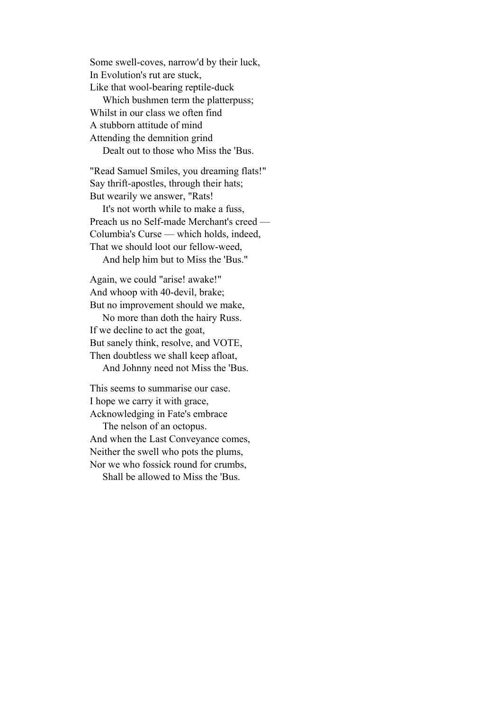Some swell-coves, narrow'd by their luck, In Evolution's rut are stuck, Like that wool-bearing reptile-duck

 Which bushmen term the platterpuss; Whilst in our class we often find A stubborn attitude of mind Attending the demnition grind Dealt out to those who Miss the 'Bus.

"Read Samuel Smiles, you dreaming flats!" Say thrift-apostles, through their hats; But wearily we answer, "Rats!

 It's not worth while to make a fuss, Preach us no Self-made Merchant's creed — Columbia's Curse — which holds, indeed, That we should loot our fellow-weed, And help him but to Miss the 'Bus."

Again, we could "arise! awake!" And whoop with 40-devil, brake; But no improvement should we make,

 No more than doth the hairy Russ. If we decline to act the goat, But sanely think, resolve, and VOTE, Then doubtless we shall keep afloat, And Johnny need not Miss the 'Bus.

This seems to summarise our case. I hope we carry it with grace, Acknowledging in Fate's embrace The nelson of an octopus. And when the Last Conveyance comes, Neither the swell who pots the plums, Nor we who fossick round for crumbs, Shall be allowed to Miss the 'Bus.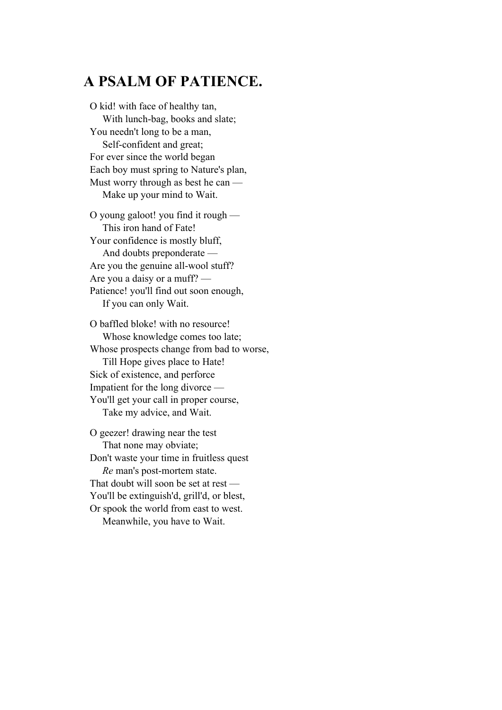### **A PSALM OF PATIENCE.**

O kid! with face of healthy tan, With lunch-bag, books and slate; You needn't long to be a man, Self-confident and great; For ever since the world began Each boy must spring to Nature's plan, Must worry through as best he can — Make up your mind to Wait.

O young galoot! you find it rough — This iron hand of Fate! Your confidence is mostly bluff, And doubts preponderate — Are you the genuine all-wool stuff? Are you a daisy or a muff? — Patience! you'll find out soon enough, If you can only Wait.

O baffled bloke! with no resource! Whose knowledge comes too late; Whose prospects change from bad to worse, Till Hope gives place to Hate! Sick of existence, and perforce Impatient for the long divorce — You'll get your call in proper course, Take my advice, and Wait.

O geezer! drawing near the test That none may obviate; Don't waste your time in fruitless quest *Re* man's post-mortem state. That doubt will soon be set at rest — You'll be extinguish'd, grill'd, or blest, Or spook the world from east to west. Meanwhile, you have to Wait.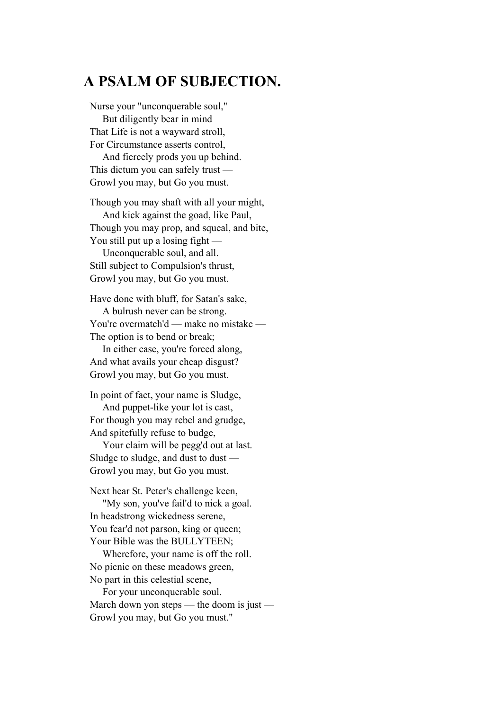### **A PSALM OF SUBJECTION.**

Nurse your "unconquerable soul," But diligently bear in mind That Life is not a wayward stroll, For Circumstance asserts control,

 And fiercely prods you up behind. This dictum you can safely trust — Growl you may, but Go you must.

Though you may shaft with all your might, And kick against the goad, like Paul,

Though you may prop, and squeal, and bite, You still put up a losing fight —

 Unconquerable soul, and all. Still subject to Compulsion's thrust, Growl you may, but Go you must.

Have done with bluff, for Satan's sake,

 A bulrush never can be strong. You're overmatch'd — make no mistake — The option is to bend or break;

 In either case, you're forced along, And what avails your cheap disgust? Growl you may, but Go you must.

In point of fact, your name is Sludge,

 And puppet-like your lot is cast, For though you may rebel and grudge, And spitefully refuse to budge,

 Your claim will be pegg'd out at last. Sludge to sludge, and dust to dust  $-$ Growl you may, but Go you must.

Next hear St. Peter's challenge keen,

 "My son, you've fail'd to nick a goal. In headstrong wickedness serene, You fear'd not parson, king or queen; Your Bible was the BULLYTEEN;

 Wherefore, your name is off the roll. No picnic on these meadows green, No part in this celestial scene,

 For your unconquerable soul. March down yon steps — the doom is just — Growl you may, but Go you must."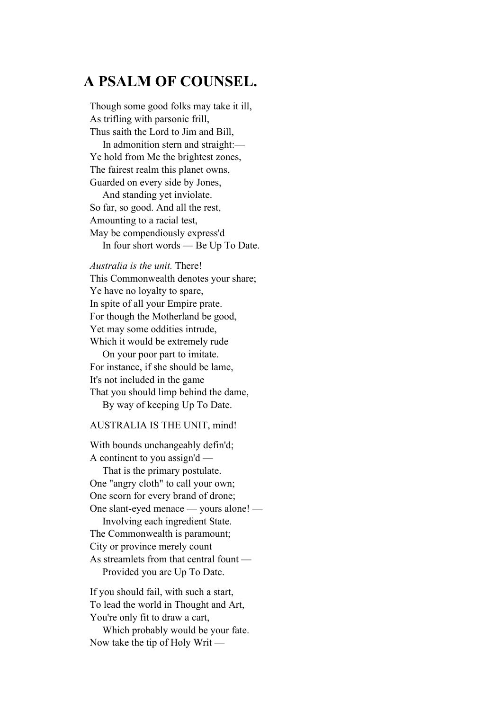### **A PSALM OF COUNSEL.**

Though some good folks may take it ill, As trifling with parsonic frill, Thus saith the Lord to Jim and Bill, In admonition stern and straight:— Ye hold from Me the brightest zones, The fairest realm this planet owns, Guarded on every side by Jones, And standing yet inviolate. So far, so good. And all the rest, Amounting to a racial test, May be compendiously express'd In four short words — Be Up To Date.

*Australia is the unit.* There! This Commonwealth denotes your share; Ye have no loyalty to spare, In spite of all your Empire prate. For though the Motherland be good, Yet may some oddities intrude, Which it would be extremely rude

 On your poor part to imitate. For instance, if she should be lame, It's not included in the game That you should limp behind the dame, By way of keeping Up To Date.

#### AUSTRALIA IS THE UNIT, mind!

With bounds unchangeably defin'd; A continent to you assign'd —

 That is the primary postulate. One "angry cloth" to call your own; One scorn for every brand of drone; One slant-eyed menace — yours alone! —

 Involving each ingredient State. The Commonwealth is paramount; City or province merely count As streamlets from that central fount — Provided you are Up To Date.

If you should fail, with such a start, To lead the world in Thought and Art, You're only fit to draw a cart,

 Which probably would be your fate. Now take the tip of Holy Writ —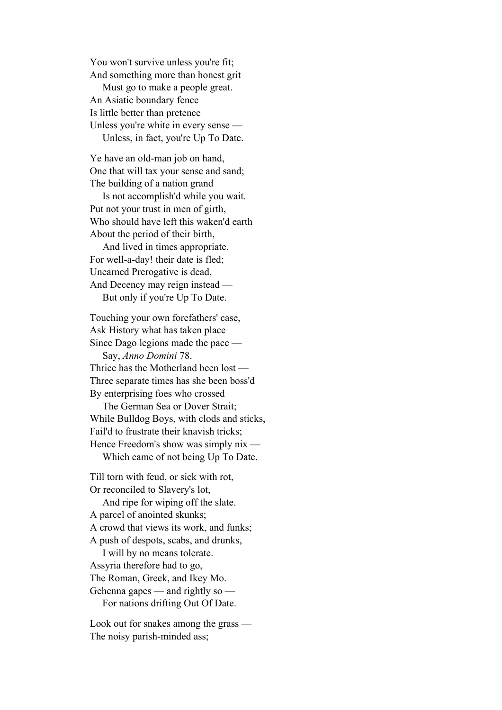You won't survive unless you're fit; And something more than honest grit Must go to make a people great. An Asiatic boundary fence Is little better than pretence Unless you're white in every sense — Unless, in fact, you're Up To Date.

Ye have an old-man job on hand, One that will tax your sense and sand; The building of a nation grand

 Is not accomplish'd while you wait. Put not your trust in men of girth, Who should have left this waken'd earth About the period of their birth,

 And lived in times appropriate. For well-a-day! their date is fled; Unearned Prerogative is dead, And Decency may reign instead —

But only if you're Up To Date.

Touching your own forefathers' case, Ask History what has taken place Since Dago legions made the pace —

 Say, *Anno Domini* 78. Thrice has the Motherland been lost — Three separate times has she been boss'd By enterprising foes who crossed

 The German Sea or Dover Strait; While Bulldog Boys, with clods and sticks, Fail'd to frustrate their knavish tricks; Hence Freedom's show was simply nix — Which came of not being Up To Date.

Till torn with feud, or sick with rot, Or reconciled to Slavery's lot,

 And ripe for wiping off the slate. A parcel of anointed skunks; A crowd that views its work, and funks; A push of despots, scabs, and drunks, I will by no means tolerate. Assyria therefore had to go, The Roman, Greek, and Ikey Mo. Gehenna gapes — and rightly so — For nations drifting Out Of Date.

Look out for snakes among the grass — The noisy parish-minded ass;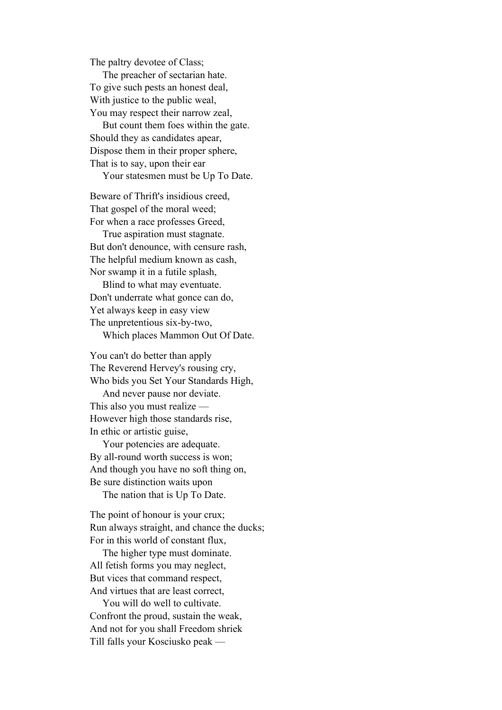The paltry devotee of Class;

 The preacher of sectarian hate. To give such pests an honest deal, With justice to the public weal, You may respect their narrow zeal,

 But count them foes within the gate. Should they as candidates apear, Dispose them in their proper sphere, That is to say, upon their ear

Your statesmen must be Up To Date.

Beware of Thrift's insidious creed, That gospel of the moral weed; For when a race professes Greed,

 True aspiration must stagnate. But don't denounce, with censure rash, The helpful medium known as cash, Nor swamp it in a futile splash,

 Blind to what may eventuate. Don't underrate what gonce can do, Yet always keep in easy view The unpretentious six-by-two, Which places Mammon Out Of Date.

You can't do better than apply The Reverend Hervey's rousing cry, Who bids you Set Your Standards High,

 And never pause nor deviate. This also you must realize — However high those standards rise, In ethic or artistic guise,

 Your potencies are adequate. By all-round worth success is won; And though you have no soft thing on, Be sure distinction waits upon

The nation that is Up To Date.

The point of honour is your crux; Run always straight, and chance the ducks; For in this world of constant flux,

 The higher type must dominate. All fetish forms you may neglect, But vices that command respect, And virtues that are least correct,

 You will do well to cultivate. Confront the proud, sustain the weak, And not for you shall Freedom shriek Till falls your Kosciusko peak —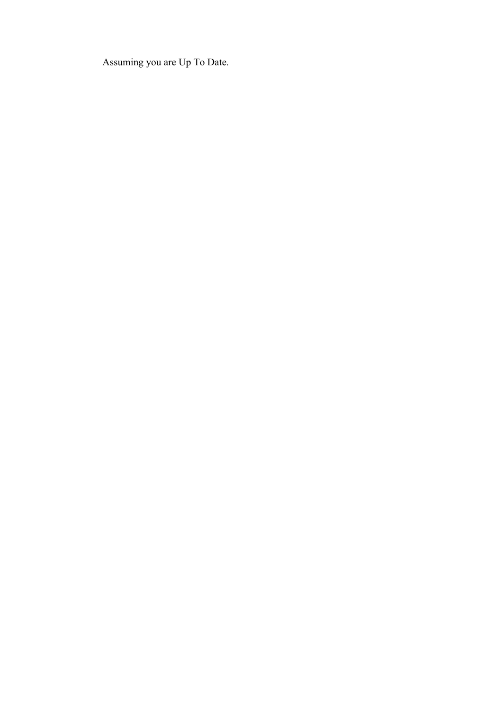Assuming you are Up To Date.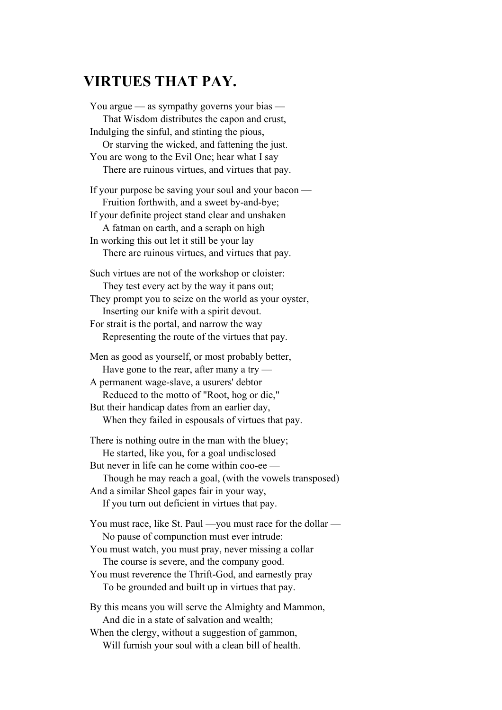#### **VIRTUES THAT PAY.**

You argue — as sympathy governs your bias — That Wisdom distributes the capon and crust, Indulging the sinful, and stinting the pious, Or starving the wicked, and fattening the just. You are wong to the Evil One; hear what I say There are ruinous virtues, and virtues that pay. If your purpose be saving your soul and your bacon — Fruition forthwith, and a sweet by-and-bye; If your definite project stand clear and unshaken A fatman on earth, and a seraph on high In working this out let it still be your lay There are ruinous virtues, and virtues that pay. Such virtues are not of the workshop or cloister: They test every act by the way it pans out; They prompt you to seize on the world as your oyster, Inserting our knife with a spirit devout. For strait is the portal, and narrow the way Representing the route of the virtues that pay. Men as good as yourself, or most probably better, Have gone to the rear, after many a try — A permanent wage-slave, a usurers' debtor Reduced to the motto of "Root, hog or die," But their handicap dates from an earlier day, When they failed in espousals of virtues that pay. There is nothing outre in the man with the bluey; He started, like you, for a goal undisclosed But never in life can he come within coo-ee — Though he may reach a goal, (with the vowels transposed) And a similar Sheol gapes fair in your way, If you turn out deficient in virtues that pay. You must race, like St. Paul —you must race for the dollar — No pause of compunction must ever intrude: You must watch, you must pray, never missing a collar The course is severe, and the company good. You must reverence the Thrift-God, and earnestly pray To be grounded and built up in virtues that pay. By this means you will serve the Almighty and Mammon, And die in a state of salvation and wealth; When the clergy, without a suggestion of gammon, Will furnish your soul with a clean bill of health.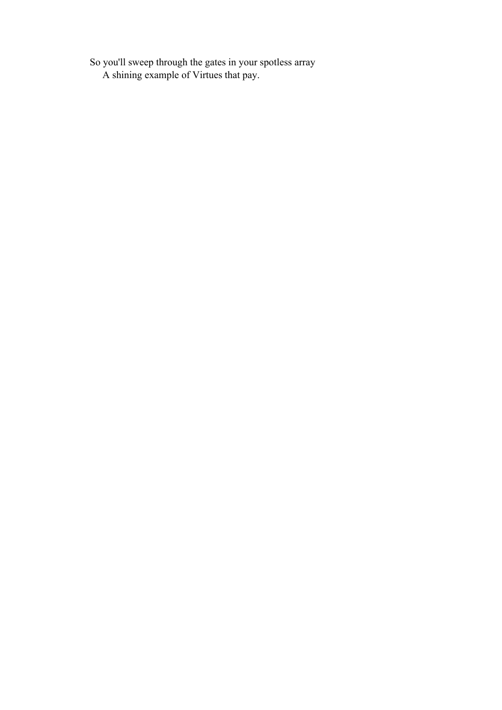So you'll sweep through the gates in your spotless array A shining example of Virtues that pay.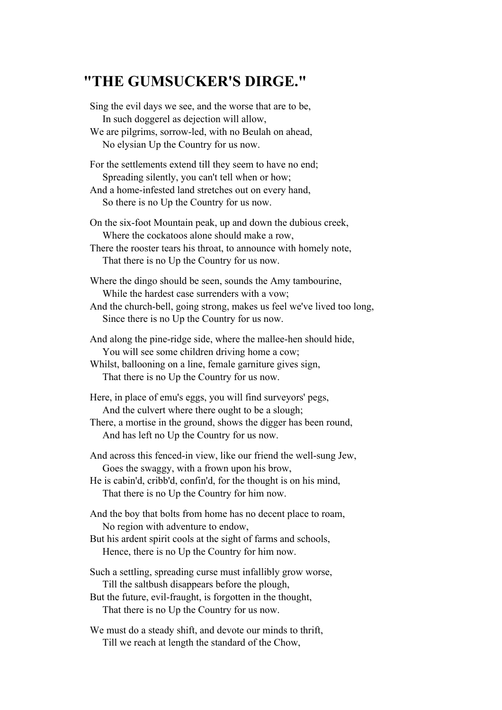### **"THE GUMSUCKER'S DIRGE."**

Sing the evil days we see, and the worse that are to be, In such doggerel as dejection will allow, We are pilgrims, sorrow-led, with no Beulah on ahead, No elysian Up the Country for us now. For the settlements extend till they seem to have no end; Spreading silently, you can't tell when or how; And a home-infested land stretches out on every hand, So there is no Up the Country for us now. On the six-foot Mountain peak, up and down the dubious creek, Where the cockatoos alone should make a row, There the rooster tears his throat, to announce with homely note, That there is no Up the Country for us now. Where the dingo should be seen, sounds the Amy tambourine, While the hardest case surrenders with a vow; And the church-bell, going strong, makes us feel we've lived too long, Since there is no Up the Country for us now. And along the pine-ridge side, where the mallee-hen should hide, You will see some children driving home a cow; Whilst, ballooning on a line, female garniture gives sign, That there is no Up the Country for us now. Here, in place of emu's eggs, you will find surveyors' pegs, And the culvert where there ought to be a slough; There, a mortise in the ground, shows the digger has been round, And has left no Up the Country for us now. And across this fenced-in view, like our friend the well-sung Jew, Goes the swaggy, with a frown upon his brow, He is cabin'd, cribb'd, confin'd, for the thought is on his mind, That there is no Up the Country for him now. And the boy that bolts from home has no decent place to roam, No region with adventure to endow, But his ardent spirit cools at the sight of farms and schools, Hence, there is no Up the Country for him now. Such a settling, spreading curse must infallibly grow worse, Till the saltbush disappears before the plough, But the future, evil-fraught, is forgotten in the thought, That there is no Up the Country for us now.

We must do a steady shift, and devote our minds to thrift, Till we reach at length the standard of the Chow,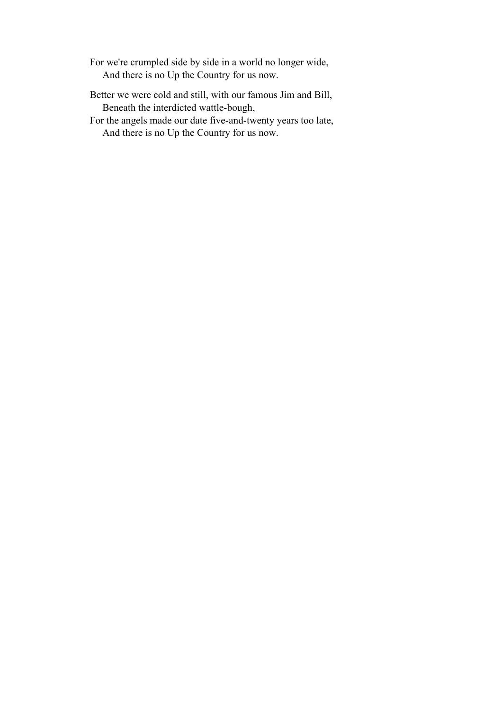For we're crumpled side by side in a world no longer wide, And there is no Up the Country for us now.

Better we were cold and still, with our famous Jim and Bill, Beneath the interdicted wattle-bough,

For the angels made our date five-and-twenty years too late, And there is no Up the Country for us now.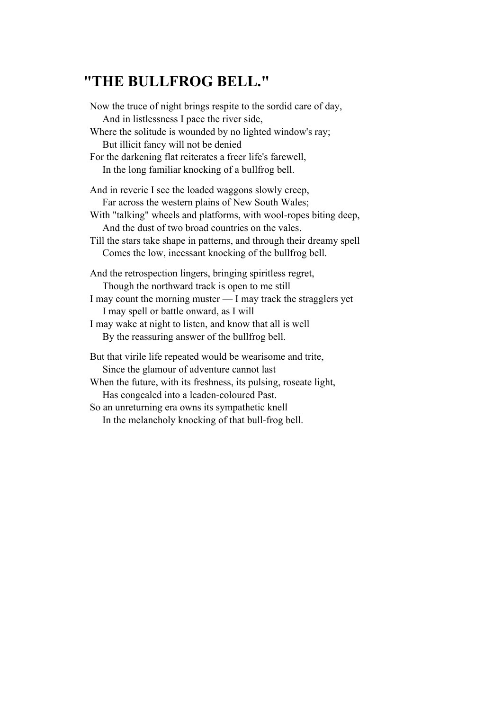### **"THE BULLFROG BELL."**

Now the truce of night brings respite to the sordid care of day, And in listlessness I pace the river side, Where the solitude is wounded by no lighted window's ray; But illicit fancy will not be denied For the darkening flat reiterates a freer life's farewell, In the long familiar knocking of a bullfrog bell. And in reverie I see the loaded waggons slowly creep, Far across the western plains of New South Wales; With "talking" wheels and platforms, with wool-ropes biting deep, And the dust of two broad countries on the vales. Till the stars take shape in patterns, and through their dreamy spell Comes the low, incessant knocking of the bullfrog bell. And the retrospection lingers, bringing spiritless regret, Though the northward track is open to me still I may count the morning muster — I may track the stragglers yet I may spell or battle onward, as I will I may wake at night to listen, and know that all is well By the reassuring answer of the bullfrog bell. But that virile life repeated would be wearisome and trite, Since the glamour of adventure cannot last When the future, with its freshness, its pulsing, roseate light, Has congealed into a leaden-coloured Past. So an unreturning era owns its sympathetic knell

In the melancholy knocking of that bull-frog bell.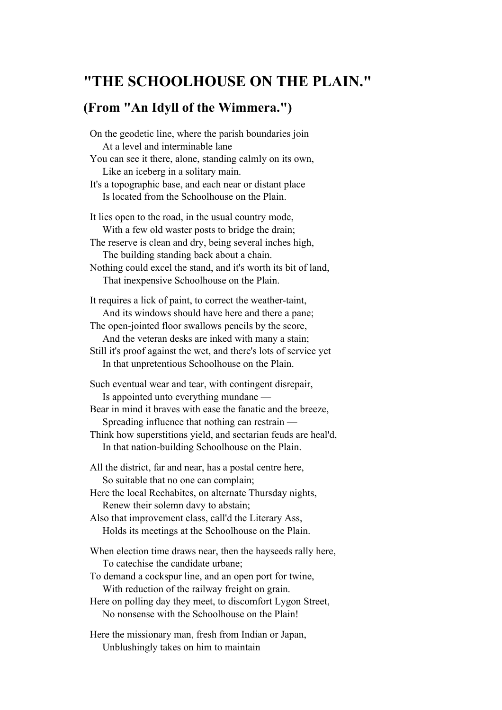### **"THE SCHOOLHOUSE ON THE PLAIN."**

#### **(From "An Idyll of the Wimmera.")**

On the geodetic line, where the parish boundaries join At a level and interminable lane You can see it there, alone, standing calmly on its own, Like an iceberg in a solitary main. It's a topographic base, and each near or distant place Is located from the Schoolhouse on the Plain. It lies open to the road, in the usual country mode, With a few old waster posts to bridge the drain; The reserve is clean and dry, being several inches high, The building standing back about a chain. Nothing could excel the stand, and it's worth its bit of land, That inexpensive Schoolhouse on the Plain. It requires a lick of paint, to correct the weather-taint, And its windows should have here and there a pane; The open-jointed floor swallows pencils by the score, And the veteran desks are inked with many a stain; Still it's proof against the wet, and there's lots of service yet In that unpretentious Schoolhouse on the Plain. Such eventual wear and tear, with contingent disrepair, Is appointed unto everything mundane — Bear in mind it braves with ease the fanatic and the breeze, Spreading influence that nothing can restrain — Think how superstitions yield, and sectarian feuds are heal'd, In that nation-building Schoolhouse on the Plain. All the district, far and near, has a postal centre here, So suitable that no one can complain; Here the local Rechabites, on alternate Thursday nights, Renew their solemn davy to abstain; Also that improvement class, call'd the Literary Ass, Holds its meetings at the Schoolhouse on the Plain. When election time draws near, then the hayseeds rally here, To catechise the candidate urbane; To demand a cockspur line, and an open port for twine, With reduction of the railway freight on grain. Here on polling day they meet, to discomfort Lygon Street, No nonsense with the Schoolhouse on the Plain! Here the missionary man, fresh from Indian or Japan, Unblushingly takes on him to maintain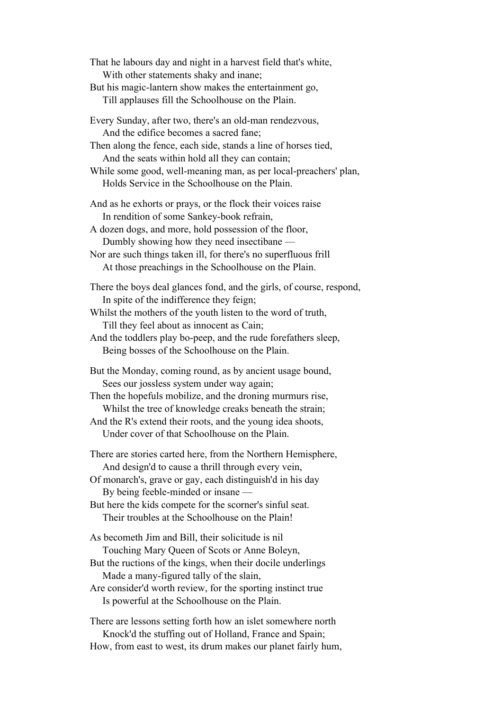That he labours day and night in a harvest field that's white, With other statements shaky and inane; But his magic-lantern show makes the entertainment go,

Till applauses fill the Schoolhouse on the Plain.

Every Sunday, after two, there's an old-man rendezvous, And the edifice becomes a sacred fane;

Then along the fence, each side, stands a line of horses tied, And the seats within hold all they can contain;

While some good, well-meaning man, as per local-preachers' plan, Holds Service in the Schoolhouse on the Plain.

And as he exhorts or prays, or the flock their voices raise In rendition of some Sankey-book refrain,

A dozen dogs, and more, hold possession of the floor, Dumbly showing how they need insectibane —

Nor are such things taken ill, for there's no superfluous frill At those preachings in the Schoolhouse on the Plain.

There the boys deal glances fond, and the girls, of course, respond, In spite of the indifference they feign;

Whilst the mothers of the youth listen to the word of truth, Till they feel about as innocent as Cain;

And the toddlers play bo-peep, and the rude forefathers sleep, Being bosses of the Schoolhouse on the Plain.

But the Monday, coming round, as by ancient usage bound, Sees our jossless system under way again;

Then the hopefuls mobilize, and the droning murmurs rise, Whilst the tree of knowledge creaks beneath the strain;

And the R's extend their roots, and the young idea shoots, Under cover of that Schoolhouse on the Plain.

There are stories carted here, from the Northern Hemisphere, And design'd to cause a thrill through every vein,

Of monarch's, grave or gay, each distinguish'd in his day By being feeble-minded or insane —

But here the kids compete for the scorner's sinful seat. Their troubles at the Schoolhouse on the Plain!

As becometh Jim and Bill, their solicitude is nil Touching Mary Queen of Scots or Anne Boleyn,

But the ructions of the kings, when their docile underlings Made a many-figured tally of the slain,

Are consider'd worth review, for the sporting instinct true Is powerful at the Schoolhouse on the Plain.

There are lessons setting forth how an islet somewhere north Knock'd the stuffing out of Holland, France and Spain; How, from east to west, its drum makes our planet fairly hum,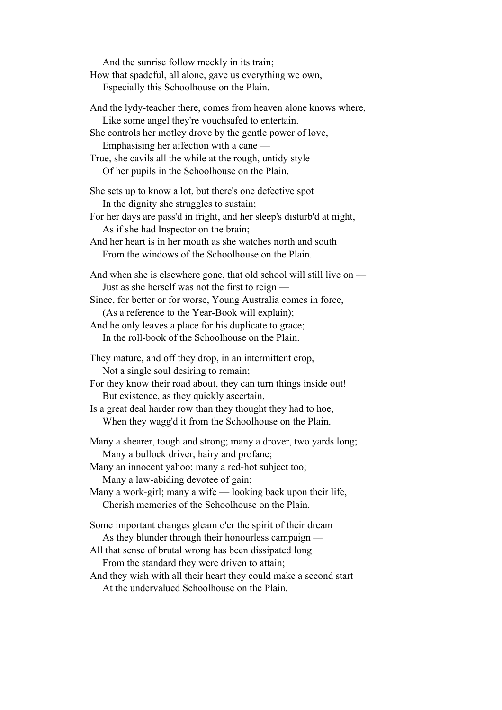And the sunrise follow meekly in its train; How that spadeful, all alone, gave us everything we own, Especially this Schoolhouse on the Plain. And the lydy-teacher there, comes from heaven alone knows where, Like some angel they're vouchsafed to entertain. She controls her motley drove by the gentle power of love, Emphasising her affection with a cane — True, she cavils all the while at the rough, untidy style Of her pupils in the Schoolhouse on the Plain. She sets up to know a lot, but there's one defective spot In the dignity she struggles to sustain; For her days are pass'd in fright, and her sleep's disturb'd at night, As if she had Inspector on the brain; And her heart is in her mouth as she watches north and south From the windows of the Schoolhouse on the Plain. And when she is elsewhere gone, that old school will still live on — Just as she herself was not the first to reign — Since, for better or for worse, Young Australia comes in force, (As a reference to the Year-Book will explain); And he only leaves a place for his duplicate to grace; In the roll-book of the Schoolhouse on the Plain. They mature, and off they drop, in an intermittent crop, Not a single soul desiring to remain; For they know their road about, they can turn things inside out! But existence, as they quickly ascertain, Is a great deal harder row than they thought they had to hoe, When they wagg'd it from the Schoolhouse on the Plain. Many a shearer, tough and strong; many a drover, two yards long; Many a bullock driver, hairy and profane; Many an innocent yahoo; many a red-hot subject too; Many a law-abiding devotee of gain; Many a work-girl; many a wife — looking back upon their life, Cherish memories of the Schoolhouse on the Plain. Some important changes gleam o'er the spirit of their dream As they blunder through their honourless campaign — All that sense of brutal wrong has been dissipated long From the standard they were driven to attain; And they wish with all their heart they could make a second start At the undervalued Schoolhouse on the Plain.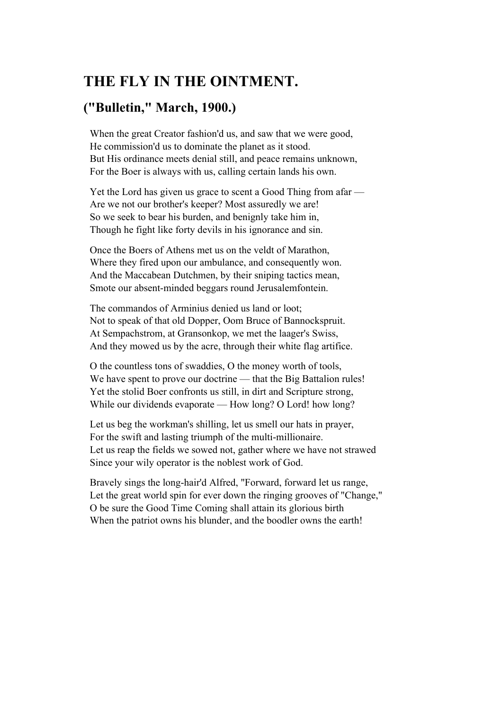## **THE FLY IN THE OINTMENT.**

#### **("Bulletin," March, 1900.)**

When the great Creator fashion'd us, and saw that we were good, He commission'd us to dominate the planet as it stood. But His ordinance meets denial still, and peace remains unknown, For the Boer is always with us, calling certain lands his own.

Yet the Lord has given us grace to scent a Good Thing from afar — Are we not our brother's keeper? Most assuredly we are! So we seek to bear his burden, and benignly take him in, Though he fight like forty devils in his ignorance and sin.

Once the Boers of Athens met us on the veldt of Marathon, Where they fired upon our ambulance, and consequently won. And the Maccabean Dutchmen, by their sniping tactics mean, Smote our absent-minded beggars round Jerusalemfontein.

The commandos of Arminius denied us land or loot; Not to speak of that old Dopper, Oom Bruce of Bannockspruit. At Sempachstrom, at Gransonkop, we met the laager's Swiss, And they mowed us by the acre, through their white flag artifice.

O the countless tons of swaddies, O the money worth of tools, We have spent to prove our doctrine — that the Big Battalion rules! Yet the stolid Boer confronts us still, in dirt and Scripture strong, While our dividends evaporate — How long? O Lord! how long?

Let us beg the workman's shilling, let us smell our hats in prayer, For the swift and lasting triumph of the multi-millionaire. Let us reap the fields we sowed not, gather where we have not strawed Since your wily operator is the noblest work of God.

Bravely sings the long-hair'd Alfred, "Forward, forward let us range, Let the great world spin for ever down the ringing grooves of "Change," O be sure the Good Time Coming shall attain its glorious birth When the patriot owns his blunder, and the boodler owns the earth!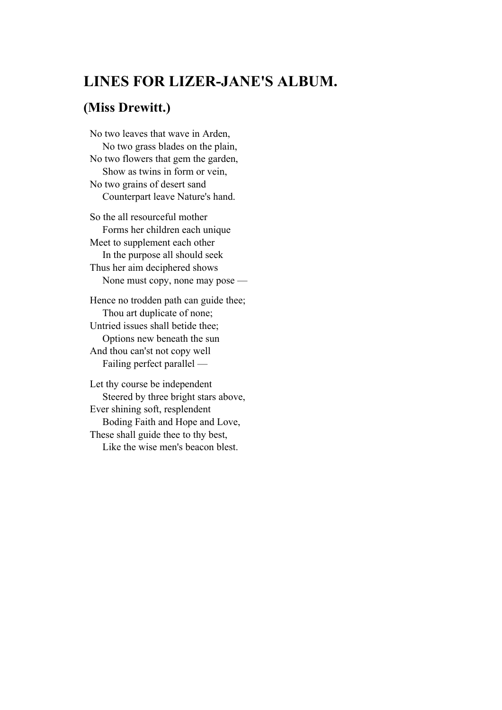## **LINES FOR LIZER-JANE'S ALBUM.**

#### **(Miss Drewitt.)**

No two leaves that wave in Arden, No two grass blades on the plain, No two flowers that gem the garden, Show as twins in form or vein, No two grains of desert sand Counterpart leave Nature's hand.

So the all resourceful mother Forms her children each unique Meet to supplement each other In the purpose all should seek Thus her aim deciphered shows None must copy, none may pose —

Hence no trodden path can guide thee; Thou art duplicate of none; Untried issues shall betide thee; Options new beneath the sun And thou can'st not copy well Failing perfect parallel —

Let thy course be independent Steered by three bright stars above, Ever shining soft, resplendent Boding Faith and Hope and Love, These shall guide thee to thy best, Like the wise men's beacon blest.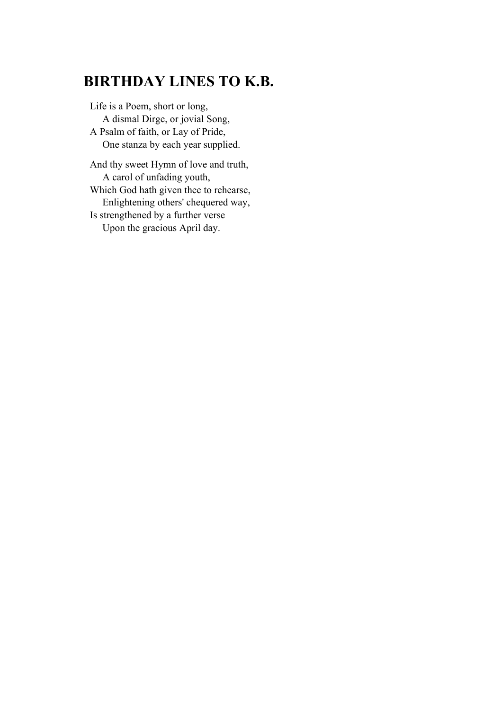# **BIRTHDAY LINES TO K.B.**

Life is a Poem, short or long, A dismal Dirge, or jovial Song, A Psalm of faith, or Lay of Pride, One stanza by each year supplied.

And thy sweet Hymn of love and truth, A carol of unfading youth, Which God hath given thee to rehearse, Enlightening others' chequered way, Is strengthened by a further verse Upon the gracious April day.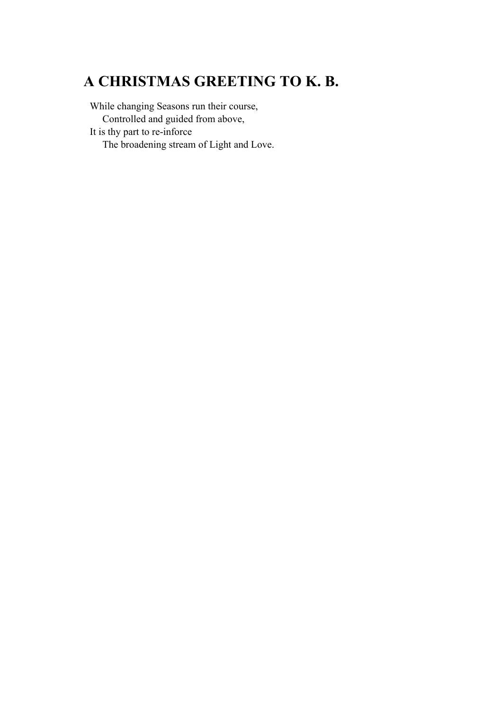# **A CHRISTMAS GREETING TO K. B.**

While changing Seasons run their course, Controlled and guided from above, It is thy part to re-inforce The broadening stream of Light and Love.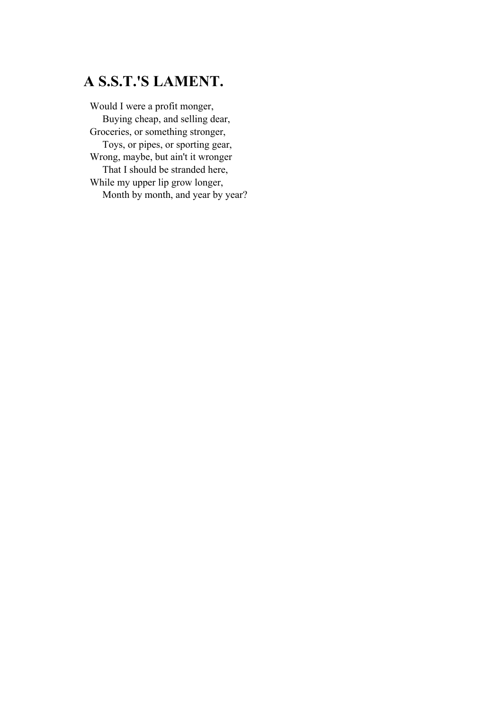# **A S.S.T.'S LAMENT.**

Would I were a profit monger, Buying cheap, and selling dear, Groceries, or something stronger, Toys, or pipes, or sporting gear, Wrong, maybe, but ain't it wronger That I should be stranded here, While my upper lip grow longer, Month by month, and year by year?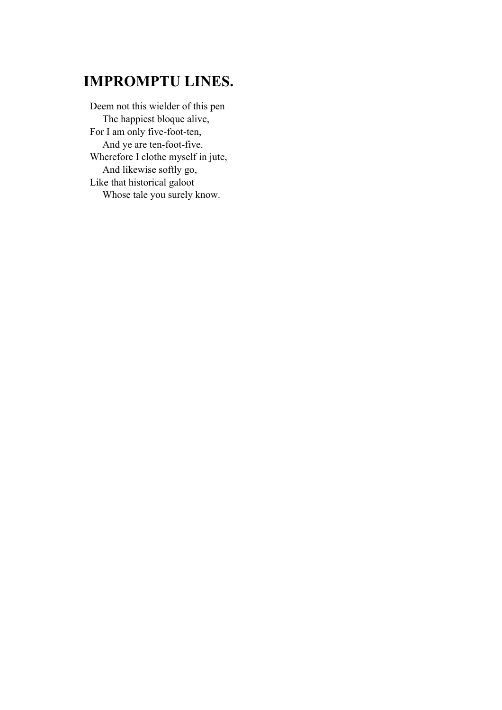# **IMPROMPTU LINES.**

Deem not this wielder of this pen The happiest bloque alive, For I am only five-foot-ten, And ye are ten-foot-five. Wherefore I clothe myself in jute, And likewise softly go, Like that historical galoot Whose tale you surely know.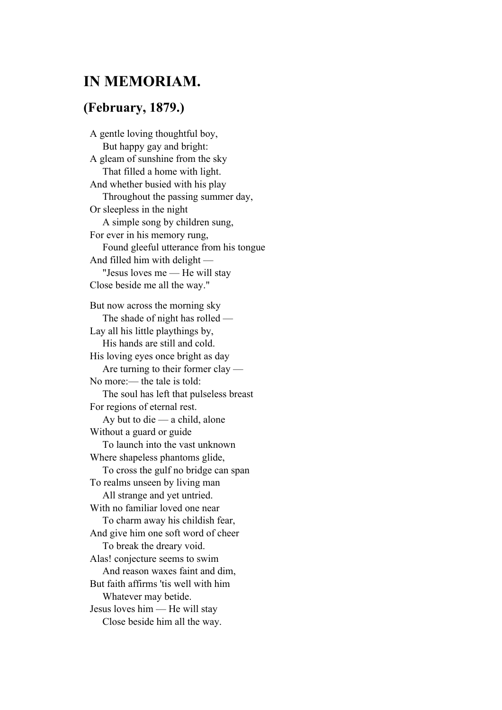#### **IN MEMORIAM.**

#### **(February, 1879.)**

A gentle loving thoughtful boy, But happy gay and bright: A gleam of sunshine from the sky That filled a home with light. And whether busied with his play Throughout the passing summer day, Or sleepless in the night A simple song by children sung, For ever in his memory rung, Found gleeful utterance from his tongue And filled him with delight — "Jesus loves me — He will stay Close beside me all the way." But now across the morning sky The shade of night has rolled — Lay all his little playthings by, His hands are still and cold. His loving eyes once bright as day Are turning to their former clay — No more:— the tale is told: The soul has left that pulseless breast For regions of eternal rest. Ay but to die — a child, alone Without a guard or guide To launch into the vast unknown Where shapeless phantoms glide, To cross the gulf no bridge can span To realms unseen by living man All strange and yet untried. With no familiar loved one near To charm away his childish fear, And give him one soft word of cheer To break the dreary void. Alas! conjecture seems to swim And reason waxes faint and dim, But faith affirms 'tis well with him Whatever may betide. Jesus loves him — He will stay Close beside him all the way.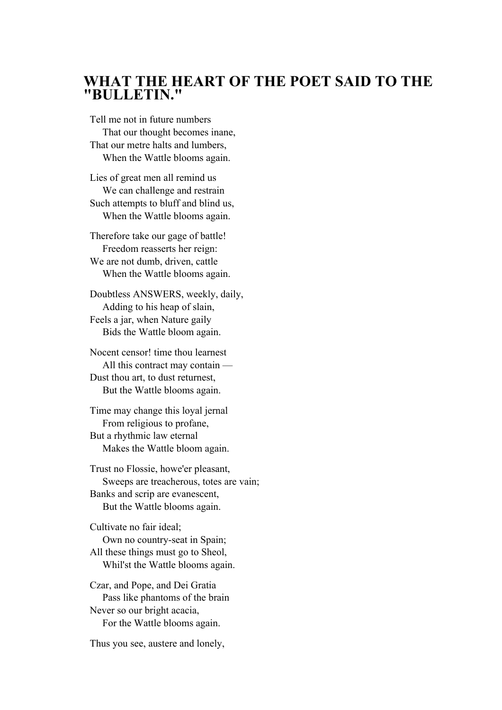### **WHAT THE HEART OF THE POET SAID TO THE "BULLETIN."**

Tell me not in future numbers That our thought becomes inane, That our metre halts and lumbers, When the Wattle blooms again.

Lies of great men all remind us We can challenge and restrain Such attempts to bluff and blind us, When the Wattle blooms again.

Therefore take our gage of battle! Freedom reasserts her reign: We are not dumb, driven, cattle When the Wattle blooms again.

Doubtless ANSWERS, weekly, daily, Adding to his heap of slain, Feels a jar, when Nature gaily Bids the Wattle bloom again.

Nocent censor! time thou learnest All this contract may contain — Dust thou art, to dust returnest, But the Wattle blooms again.

Time may change this loyal jernal From religious to profane, But a rhythmic law eternal Makes the Wattle bloom again.

Trust no Flossie, howe'er pleasant, Sweeps are treacherous, totes are vain; Banks and scrip are evanescent, But the Wattle blooms again.

Cultivate no fair ideal; Own no country-seat in Spain; All these things must go to Sheol, Whil'st the Wattle blooms again.

Czar, and Pope, and Dei Gratia Pass like phantoms of the brain Never so our bright acacia, For the Wattle blooms again.

Thus you see, austere and lonely,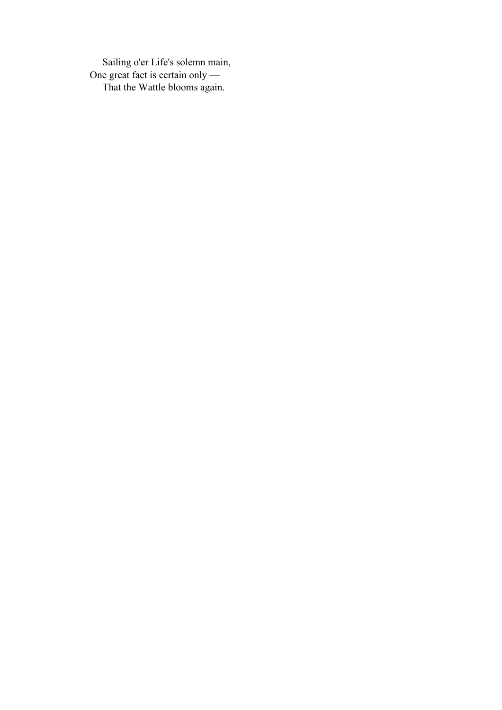Sailing o'er Life's solemn main, One great fact is certain only — That the Wattle blooms again.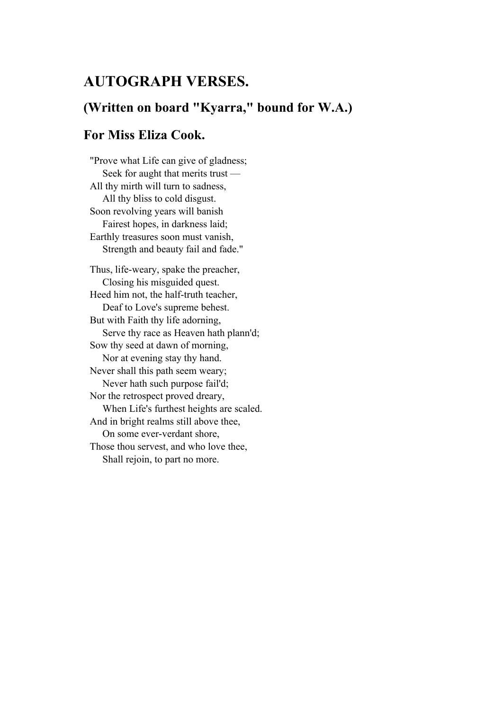### **AUTOGRAPH VERSES.**

#### **(Written on board "Kyarra," bound for W.A.)**

#### **For Miss Eliza Cook.**

"Prove what Life can give of gladness; Seek for aught that merits trust — All thy mirth will turn to sadness, All thy bliss to cold disgust. Soon revolving years will banish Fairest hopes, in darkness laid; Earthly treasures soon must vanish, Strength and beauty fail and fade." Thus, life-weary, spake the preacher, Closing his misguided quest. Heed him not, the half-truth teacher, Deaf to Love's supreme behest. But with Faith thy life adorning, Serve thy race as Heaven hath plann'd; Sow thy seed at dawn of morning, Nor at evening stay thy hand. Never shall this path seem weary; Never hath such purpose fail'd; Nor the retrospect proved dreary, When Life's furthest heights are scaled. And in bright realms still above thee, On some ever-verdant shore, Those thou servest, and who love thee, Shall rejoin, to part no more.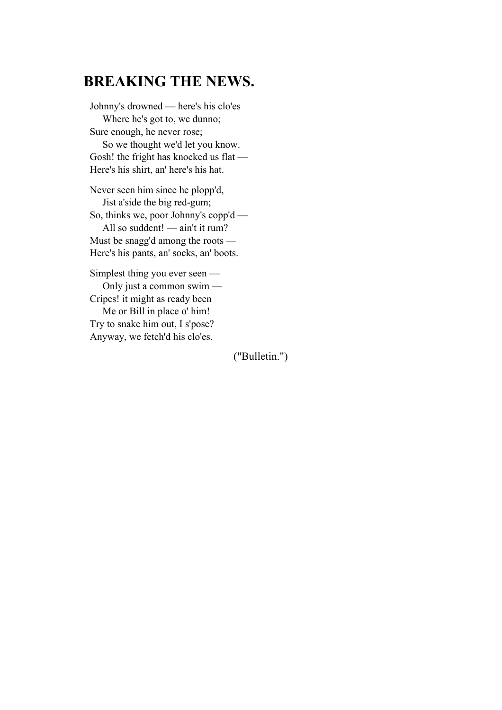## **BREAKING THE NEWS.**

Johnny's drowned — here's his clo'es Where he's got to, we dunno; Sure enough, he never rose; So we thought we'd let you know. Gosh! the fright has knocked us flat — Here's his shirt, an' here's his hat.

Never seen him since he plopp'd, Jist a'side the big red-gum; So, thinks we, poor Johnny's copp'd — All so suddent! — ain't it rum? Must be snagg'd among the roots — Here's his pants, an' socks, an' boots.

Simplest thing you ever seen — Only just a common swim — Cripes! it might as ready been Me or Bill in place o' him! Try to snake him out, I s'pose? Anyway, we fetch'd his clo'es.

("Bulletin.")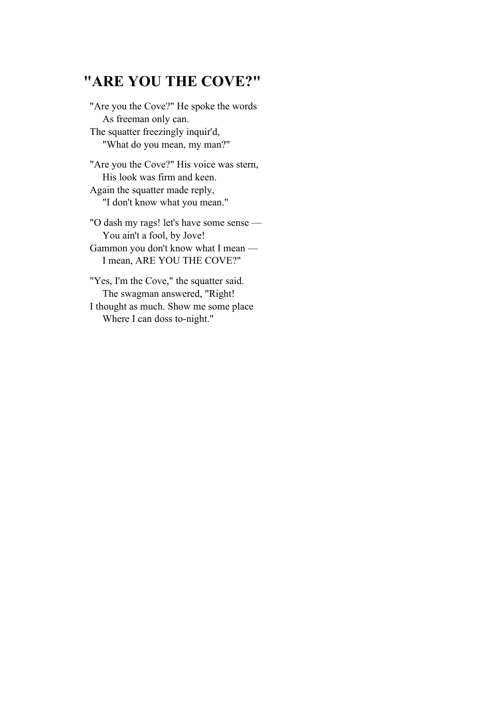### **"ARE YOU THE COVE?"**

"Are you the Cove?" He spoke the words As freeman only can. The squatter freezingly inquir'd, "What do you mean, my man?"

"Are you the Cove?" His voice was stern, His look was firm and keen. Again the squatter made reply, "I don't know what you mean."

"O dash my rags! let's have some sense — You ain't a fool, by Jove! Gammon you don't know what I mean — I mean, ARE YOU THE COVE?"

"Yes, I'm the Cove," the squatter said. The swagman answered, "Right! I thought as much. Show me some place Where I can doss to-night."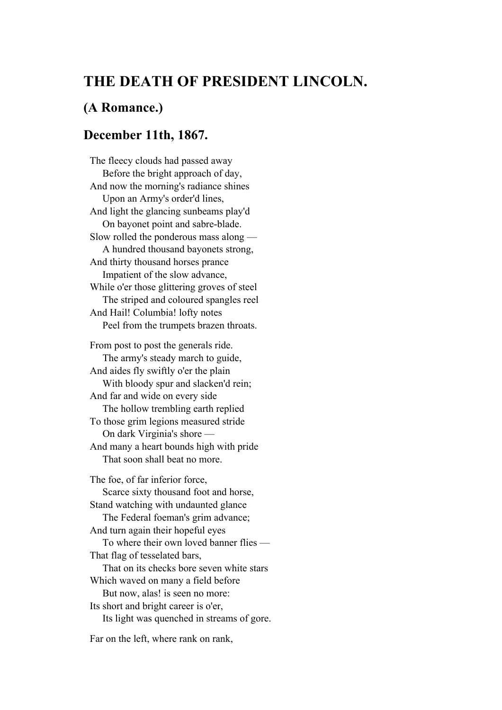### **THE DEATH OF PRESIDENT LINCOLN.**

#### **(A Romance.)**

#### **December 11th, 1867.**

The fleecy clouds had passed away Before the bright approach of day, And now the morning's radiance shines Upon an Army's order'd lines, And light the glancing sunbeams play'd On bayonet point and sabre-blade. Slow rolled the ponderous mass along — A hundred thousand bayonets strong, And thirty thousand horses prance Impatient of the slow advance, While o'er those glittering groves of steel The striped and coloured spangles reel And Hail! Columbia! lofty notes Peel from the trumpets brazen throats. From post to post the generals ride. The army's steady march to guide, And aides fly swiftly o'er the plain With bloody spur and slacken'd rein; And far and wide on every side

 The hollow trembling earth replied To those grim legions measured stride On dark Virginia's shore — And many a heart bounds high with pride That soon shall beat no more.

The foe, of far inferior force, Scarce sixty thousand foot and horse, Stand watching with undaunted glance The Federal foeman's grim advance; And turn again their hopeful eyes To where their own loved banner flies — That flag of tesselated bars, That on its checks bore seven white stars Which waved on many a field before But now, alas! is seen no more: Its short and bright career is o'er, Its light was quenched in streams of gore.

Far on the left, where rank on rank,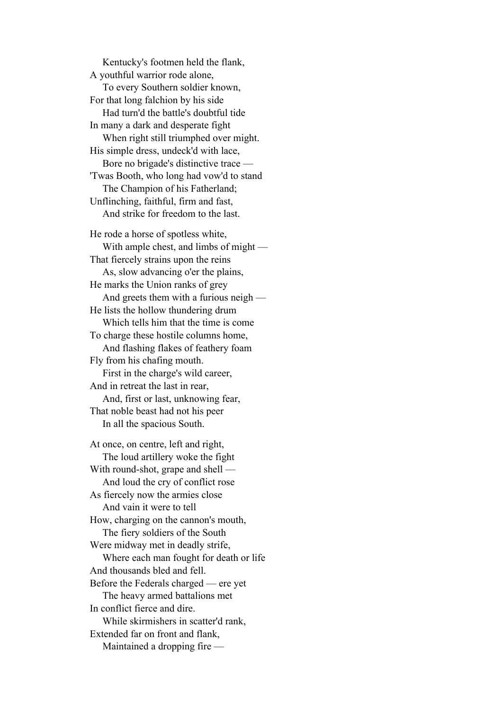Kentucky's footmen held the flank, A youthful warrior rode alone, To every Southern soldier known, For that long falchion by his side Had turn'd the battle's doubtful tide In many a dark and desperate fight When right still triumphed over might. His simple dress, undeck'd with lace, Bore no brigade's distinctive trace — 'Twas Booth, who long had vow'd to stand The Champion of his Fatherland; Unflinching, faithful, firm and fast, And strike for freedom to the last. He rode a horse of spotless white, With ample chest, and limbs of might — That fiercely strains upon the reins As, slow advancing o'er the plains, He marks the Union ranks of grey And greets them with a furious neigh — He lists the hollow thundering drum Which tells him that the time is come To charge these hostile columns home, And flashing flakes of feathery foam Fly from his chafing mouth. First in the charge's wild career, And in retreat the last in rear, And, first or last, unknowing fear, That noble beast had not his peer In all the spacious South. At once, on centre, left and right, The loud artillery woke the fight With round-shot, grape and shell — And loud the cry of conflict rose As fiercely now the armies close And vain it were to tell How, charging on the cannon's mouth, The fiery soldiers of the South Were midway met in deadly strife, Where each man fought for death or life And thousands bled and fell. Before the Federals charged — ere yet The heavy armed battalions met In conflict fierce and dire. While skirmishers in scatter'd rank,

Extended far on front and flank, Maintained a dropping fire —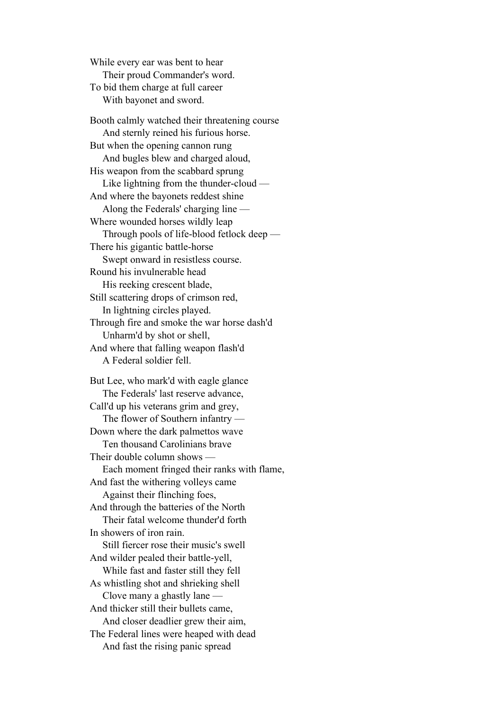While every ear was bent to hear Their proud Commander's word. To bid them charge at full career With bayonet and sword.

Booth calmly watched their threatening course And sternly reined his furious horse. But when the opening cannon rung And bugles blew and charged aloud, His weapon from the scabbard sprung Like lightning from the thunder-cloud — And where the bayonets reddest shine Along the Federals' charging line — Where wounded horses wildly leap Through pools of life-blood fetlock deep — There his gigantic battle-horse Swept onward in resistless course. Round his invulnerable head His reeking crescent blade, Still scattering drops of crimson red, In lightning circles played. Through fire and smoke the war horse dash'd Unharm'd by shot or shell, And where that falling weapon flash'd A Federal soldier fell.

But Lee, who mark'd with eagle glance The Federals' last reserve advance, Call'd up his veterans grim and grey, The flower of Southern infantry — Down where the dark palmettos wave Ten thousand Carolinians brave Their double column shows — Each moment fringed their ranks with flame, And fast the withering volleys came Against their flinching foes, And through the batteries of the North Their fatal welcome thunder'd forth In showers of iron rain. Still fiercer rose their music's swell And wilder pealed their battle-yell, While fast and faster still they fell As whistling shot and shrieking shell Clove many a ghastly lane — And thicker still their bullets came, And closer deadlier grew their aim, The Federal lines were heaped with dead And fast the rising panic spread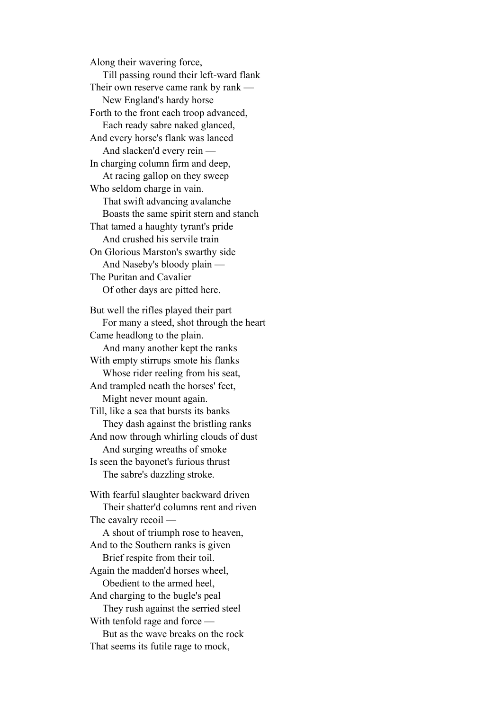Along their wavering force, Till passing round their left-ward flank Their own reserve came rank by rank — New England's hardy horse Forth to the front each troop advanced, Each ready sabre naked glanced, And every horse's flank was lanced And slacken'd every rein — In charging column firm and deep, At racing gallop on they sweep Who seldom charge in vain. That swift advancing avalanche Boasts the same spirit stern and stanch That tamed a haughty tyrant's pride And crushed his servile train On Glorious Marston's swarthy side And Naseby's bloody plain — The Puritan and Cavalier Of other days are pitted here. But well the rifles played their part For many a steed, shot through the heart Came headlong to the plain. And many another kept the ranks With empty stirrups smote his flanks Whose rider reeling from his seat,

And trampled neath the horses' feet, Might never mount again.

Till, like a sea that bursts its banks They dash against the bristling ranks And now through whirling clouds of dust And surging wreaths of smoke Is seen the bayonet's furious thrust

The sabre's dazzling stroke.

With fearful slaughter backward driven Their shatter'd columns rent and riven The cavalry recoil — A shout of triumph rose to heaven, And to the Southern ranks is given Brief respite from their toil. Again the madden'd horses wheel, Obedient to the armed heel, And charging to the bugle's peal They rush against the serried steel With tenfold rage and force — But as the wave breaks on the rock That seems its futile rage to mock,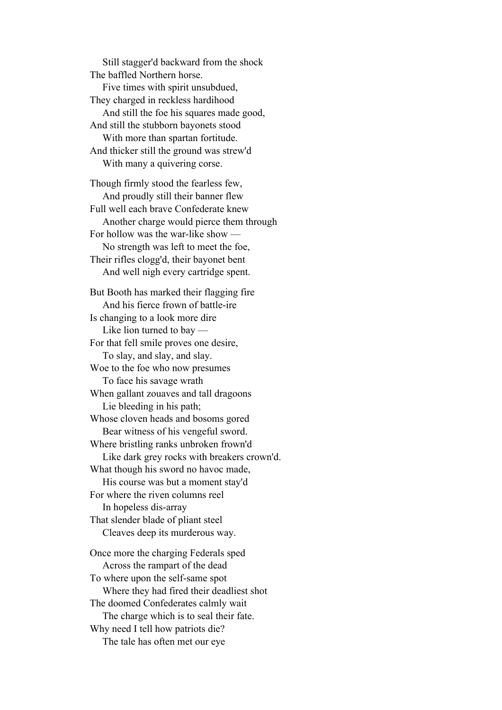Still stagger'd backward from the shock The baffled Northern horse. Five times with spirit unsubdued, They charged in reckless hardihood And still the foe his squares made good, And still the stubborn bayonets stood With more than spartan fortitude. And thicker still the ground was strew'd With many a quivering corse. Though firmly stood the fearless few, And proudly still their banner flew Full well each brave Confederate knew Another charge would pierce them through For hollow was the war-like show — No strength was left to meet the foe, Their rifles clogg'd, their bayonet bent And well nigh every cartridge spent. But Booth has marked their flagging fire And his fierce frown of battle-ire Is changing to a look more dire Like lion turned to bay — For that fell smile proves one desire, To slay, and slay, and slay. Woe to the foe who now presumes To face his savage wrath When gallant zouaves and tall dragoons Lie bleeding in his path; Whose cloven heads and bosoms gored Bear witness of his vengeful sword. Where bristling ranks unbroken frown'd Like dark grey rocks with breakers crown'd. What though his sword no havoc made, His course was but a moment stay'd For where the riven columns reel In hopeless dis-array That slender blade of pliant steel Cleaves deep its murderous way. Once more the charging Federals sped Across the rampart of the dead To where upon the self-same spot Where they had fired their deadliest shot The doomed Confederates calmly wait The charge which is to seal their fate. Why need I tell how patriots die?

The tale has often met our eye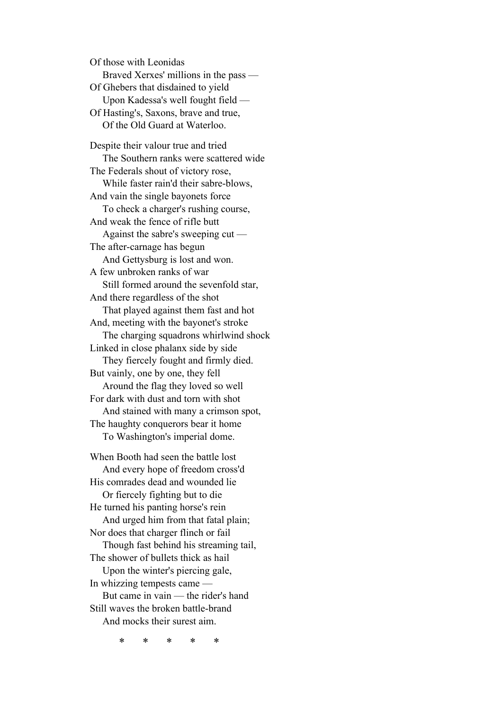Of those with Leonidas Braved Xerxes' millions in the pass — Of Ghebers that disdained to yield Upon Kadessa's well fought field — Of Hasting's, Saxons, brave and true, Of the Old Guard at Waterloo. Despite their valour true and tried The Southern ranks were scattered wide The Federals shout of victory rose, While faster rain'd their sabre-blows, And vain the single bayonets force To check a charger's rushing course, And weak the fence of rifle butt Against the sabre's sweeping cut — The after-carnage has begun And Gettysburg is lost and won. A few unbroken ranks of war Still formed around the sevenfold star, And there regardless of the shot That played against them fast and hot And, meeting with the bayonet's stroke The charging squadrons whirlwind shock Linked in close phalanx side by side They fiercely fought and firmly died. But vainly, one by one, they fell Around the flag they loved so well For dark with dust and torn with shot And stained with many a crimson spot, The haughty conquerors bear it home To Washington's imperial dome. When Booth had seen the battle lost And every hope of freedom cross'd His comrades dead and wounded lie Or fiercely fighting but to die He turned his panting horse's rein And urged him from that fatal plain; Nor does that charger flinch or fail Though fast behind his streaming tail,

The shower of bullets thick as hail Upon the winter's piercing gale,

In whizzing tempests came — But came in vain — the rider's hand Still waves the broken battle-brand

And mocks their surest aim.

\* \* \* \* \*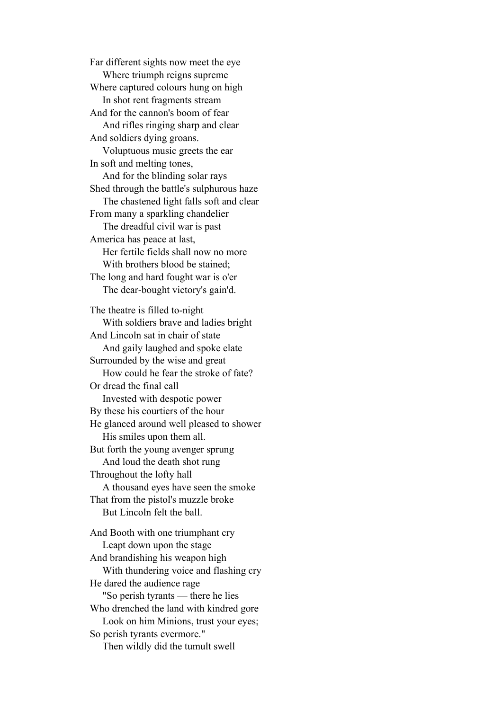Where triumph reigns supreme Where captured colours hung on high In shot rent fragments stream And for the cannon's boom of fear And rifles ringing sharp and clear And soldiers dying groans. Voluptuous music greets the ear In soft and melting tones, And for the blinding solar rays Shed through the battle's sulphurous haze The chastened light falls soft and clear From many a sparkling chandelier The dreadful civil war is past America has peace at last, Her fertile fields shall now no more With brothers blood be stained; The long and hard fought war is o'er The dear-bought victory's gain'd. The theatre is filled to-night With soldiers brave and ladies bright And Lincoln sat in chair of state And gaily laughed and spoke elate Surrounded by the wise and great How could he fear the stroke of fate? Or dread the final call Invested with despotic power By these his courtiers of the hour He glanced around well pleased to shower His smiles upon them all. But forth the young avenger sprung And loud the death shot rung Throughout the lofty hall A thousand eyes have seen the smoke That from the pistol's muzzle broke But Lincoln felt the ball. And Booth with one triumphant cry Leapt down upon the stage And brandishing his weapon high With thundering voice and flashing cry He dared the audience rage "So perish tyrants — there he lies Who drenched the land with kindred gore Look on him Minions, trust your eyes; So perish tyrants evermore." Then wildly did the tumult swell

Far different sights now meet the eye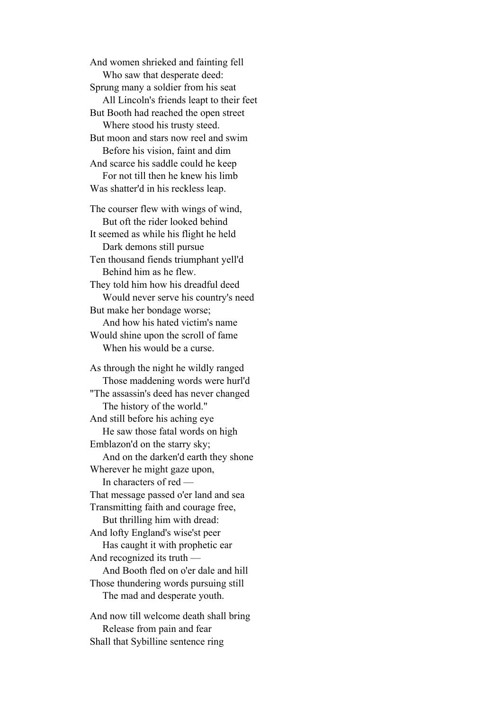And women shrieked and fainting fell Who saw that desperate deed: Sprung many a soldier from his seat All Lincoln's friends leapt to their feet But Booth had reached the open street Where stood his trusty steed. But moon and stars now reel and swim Before his vision, faint and dim And scarce his saddle could he keep For not till then he knew his limb Was shatter'd in his reckless leap. The courser flew with wings of wind, But oft the rider looked behind It seemed as while his flight he held

 Dark demons still pursue Ten thousand fiends triumphant yell'd Behind him as he flew.

They told him how his dreadful deed Would never serve his country's need But make her bondage worse; And how his hated victim's name

Would shine upon the scroll of fame When his would be a curse.

As through the night he wildly ranged Those maddening words were hurl'd "The assassin's deed has never changed The history of the world." And still before his aching eye He saw those fatal words on high Emblazon'd on the starry sky; And on the darken'd earth they shone Wherever he might gaze upon, In characters of red — That message passed o'er land and sea Transmitting faith and courage free, But thrilling him with dread: And lofty England's wise'st peer Has caught it with prophetic ear And recognized its truth — And Booth fled on o'er dale and hill Those thundering words pursuing still The mad and desperate youth.

And now till welcome death shall bring Release from pain and fear Shall that Sybilline sentence ring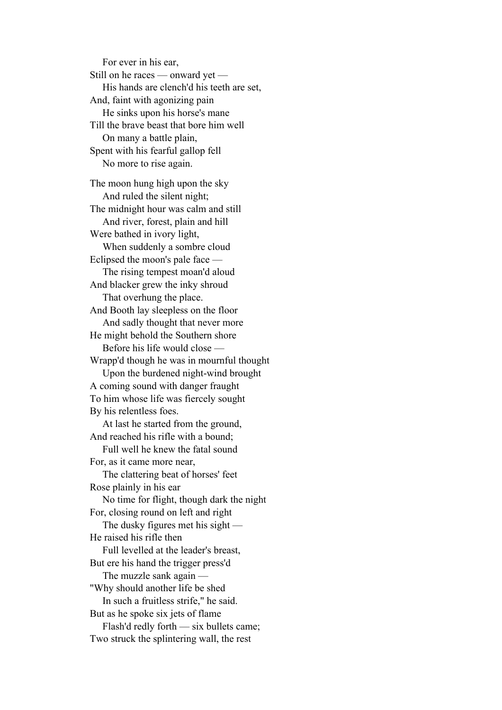For ever in his ear, Still on he races — onward yet — His hands are clench'd his teeth are set, And, faint with agonizing pain He sinks upon his horse's mane Till the brave beast that bore him well On many a battle plain, Spent with his fearful gallop fell No more to rise again. The moon hung high upon the sky And ruled the silent night;

The midnight hour was calm and still And river, forest, plain and hill Were bathed in ivory light, When suddenly a sombre cloud Eclipsed the moon's pale face — The rising tempest moan'd aloud And blacker grew the inky shroud That overhung the place. And Booth lay sleepless on the floor And sadly thought that never more He might behold the Southern shore Before his life would close — Wrapp'd though he was in mournful thought Upon the burdened night-wind brought A coming sound with danger fraught To him whose life was fiercely sought By his relentless foes. At last he started from the ground, And reached his rifle with a bound; Full well he knew the fatal sound For, as it came more near, The clattering beat of horses' feet Rose plainly in his ear No time for flight, though dark the night For, closing round on left and right The dusky figures met his sight — He raised his rifle then Full levelled at the leader's breast, But ere his hand the trigger press'd The muzzle sank again — "Why should another life be shed In such a fruitless strife," he said. But as he spoke six jets of flame Flash'd redly forth — six bullets came; Two struck the splintering wall, the rest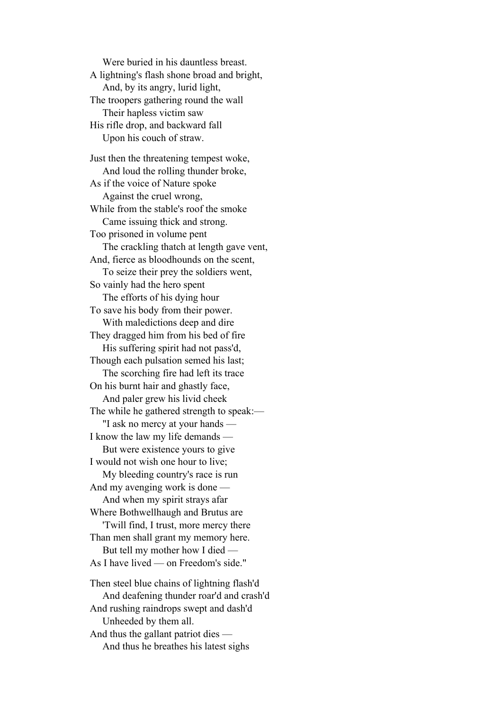Were buried in his dauntless breast. A lightning's flash shone broad and bright, And, by its angry, lurid light, The troopers gathering round the wall Their hapless victim saw His rifle drop, and backward fall Upon his couch of straw. Just then the threatening tempest woke, And loud the rolling thunder broke, As if the voice of Nature spoke Against the cruel wrong, While from the stable's roof the smoke Came issuing thick and strong. Too prisoned in volume pent The crackling thatch at length gave vent, And, fierce as bloodhounds on the scent, To seize their prey the soldiers went, So vainly had the hero spent The efforts of his dying hour To save his body from their power. With maledictions deep and dire They dragged him from his bed of fire His suffering spirit had not pass'd, Though each pulsation semed his last; The scorching fire had left its trace On his burnt hair and ghastly face, And paler grew his livid cheek The while he gathered strength to speak:— "I ask no mercy at your hands — I know the law my life demands — But were existence yours to give I would not wish one hour to live; My bleeding country's race is run And my avenging work is done — And when my spirit strays afar Where Bothwellhaugh and Brutus are 'Twill find, I trust, more mercy there Than men shall grant my memory here. But tell my mother how I died — As I have lived — on Freedom's side." Then steel blue chains of lightning flash'd And deafening thunder roar'd and crash'd And rushing raindrops swept and dash'd Unheeded by them all. And thus the gallant patriot dies — And thus he breathes his latest sighs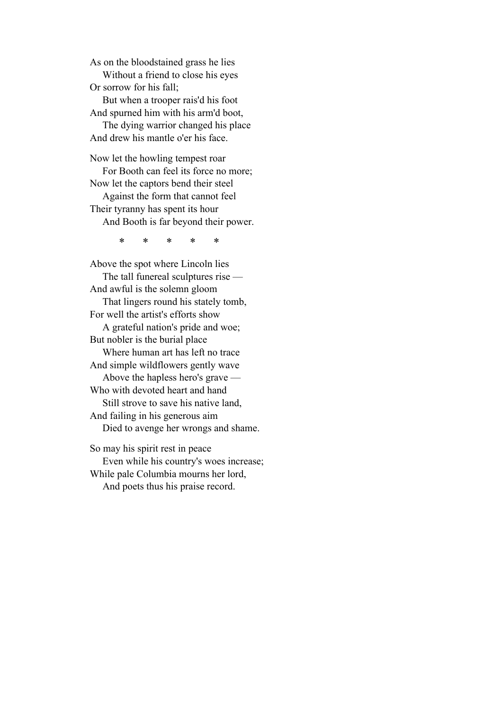As on the bloodstained grass he lies Without a friend to close his eyes Or sorrow for his fall; But when a trooper rais'd his foot And spurned him with his arm'd boot,

 The dying warrior changed his place And drew his mantle o'er his face.

Now let the howling tempest roar For Booth can feel its force no more; Now let the captors bend their steel

 Against the form that cannot feel Their tyranny has spent its hour And Booth is far beyond their power.

\* \* \* \* \*

Above the spot where Lincoln lies The tall funereal sculptures rise — And awful is the solemn gloom That lingers round his stately tomb, For well the artist's efforts show A grateful nation's pride and woe; But nobler is the burial place Where human art has left no trace And simple wildflowers gently wave Above the hapless hero's grave — Who with devoted heart and hand Still strove to save his native land, And failing in his generous aim Died to avenge her wrongs and shame.

So may his spirit rest in peace Even while his country's woes increase; While pale Columbia mourns her lord, And poets thus his praise record.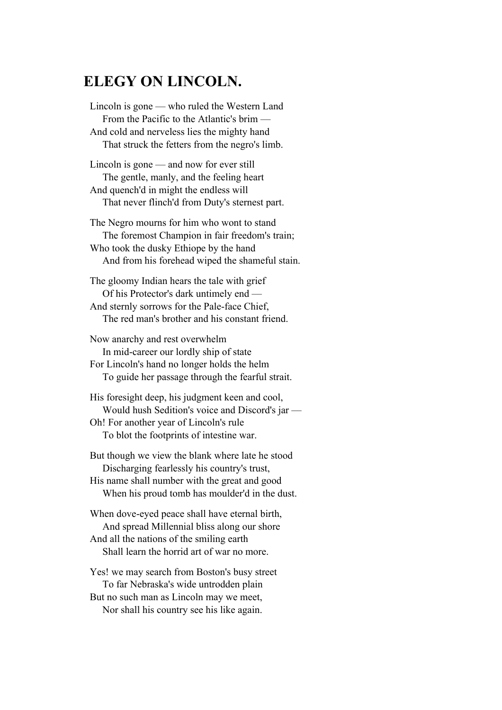#### **ELEGY ON LINCOLN.**

Lincoln is gone — who ruled the Western Land From the Pacific to the Atlantic's brim — And cold and nerveless lies the mighty hand That struck the fetters from the negro's limb. Lincoln is gone — and now for ever still The gentle, manly, and the feeling heart And quench'd in might the endless will That never flinch'd from Duty's sternest part. The Negro mourns for him who wont to stand The foremost Champion in fair freedom's train; Who took the dusky Ethiope by the hand And from his forehead wiped the shameful stain.

The gloomy Indian hears the tale with grief Of his Protector's dark untimely end — And sternly sorrows for the Pale-face Chief, The red man's brother and his constant friend.

Now anarchy and rest overwhelm In mid-career our lordly ship of state For Lincoln's hand no longer holds the helm To guide her passage through the fearful strait.

His foresight deep, his judgment keen and cool, Would hush Sedition's voice and Discord's jar — Oh! For another year of Lincoln's rule To blot the footprints of intestine war.

But though we view the blank where late he stood Discharging fearlessly his country's trust, His name shall number with the great and good When his proud tomb has moulder'd in the dust.

When dove-eyed peace shall have eternal birth, And spread Millennial bliss along our shore And all the nations of the smiling earth Shall learn the horrid art of war no more.

Yes! we may search from Boston's busy street To far Nebraska's wide untrodden plain But no such man as Lincoln may we meet, Nor shall his country see his like again.